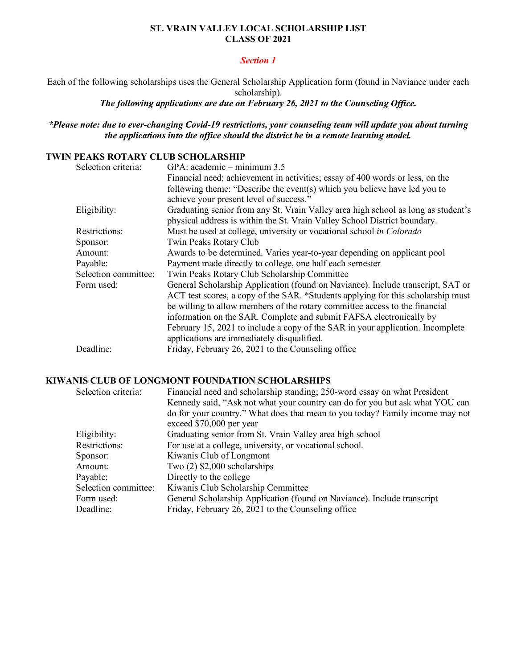### **ST. VRAIN VALLEY LOCAL SCHOLARSHIP LIST CLASS OF 2021**

### *Section 1*

Each of the following scholarships uses the General Scholarship Application form (found in Naviance under each scholarship).

*The following applications are due on February 26, 2021 to the Counseling Office.* 

## *\*Please note: due to ever-changing Covid-19 restrictions, your counseling team will update you about turning the applications into the office should the district be in a remote learning model.*

### **TWIN PEAKS ROTARY CLUB SCHOLARSHIP**

| Selection criteria:  | GPA: $academic - minimum 3.5$                                                     |
|----------------------|-----------------------------------------------------------------------------------|
|                      | Financial need; achievement in activities; essay of 400 words or less, on the     |
|                      | following theme: "Describe the event(s) which you believe have led you to         |
|                      | achieve your present level of success."                                           |
| Eligibility:         | Graduating senior from any St. Vrain Valley area high school as long as student's |
|                      | physical address is within the St. Vrain Valley School District boundary.         |
| Restrictions:        | Must be used at college, university or vocational school in Colorado              |
| Sponsor:             | Twin Peaks Rotary Club                                                            |
| Amount:              | Awards to be determined. Varies year-to-year depending on applicant pool          |
| Payable:             | Payment made directly to college, one half each semester                          |
| Selection committee: | Twin Peaks Rotary Club Scholarship Committee                                      |
| Form used:           | General Scholarship Application (found on Naviance). Include transcript, SAT or   |
|                      | ACT test scores, a copy of the SAR. *Students applying for this scholarship must  |
|                      | be willing to allow members of the rotary committee access to the financial       |
|                      | information on the SAR. Complete and submit FAFSA electronically by               |
|                      | February 15, 2021 to include a copy of the SAR in your application. Incomplete    |
|                      | applications are immediately disqualified.                                        |
| Deadline:            | Friday, February 26, 2021 to the Counseling office                                |
|                      |                                                                                   |

#### **KIWANIS CLUB OF LONGMONT FOUNDATION SCHOLARSHIPS**

| Selection criteria:  | Financial need and scholarship standing; 250-word essay on what President<br>Kennedy said, "Ask not what your country can do for you but ask what YOU can<br>do for your country." What does that mean to you today? Family income may not<br>exceed \$70,000 per year |
|----------------------|------------------------------------------------------------------------------------------------------------------------------------------------------------------------------------------------------------------------------------------------------------------------|
| Eligibility:         | Graduating senior from St. Vrain Valley area high school                                                                                                                                                                                                               |
| Restrictions:        | For use at a college, university, or vocational school.                                                                                                                                                                                                                |
| Sponsor:             | Kiwanis Club of Longmont                                                                                                                                                                                                                                               |
| Amount:              | Two $(2)$ \$2,000 scholarships                                                                                                                                                                                                                                         |
| Payable:             | Directly to the college                                                                                                                                                                                                                                                |
| Selection committee: | Kiwanis Club Scholarship Committee                                                                                                                                                                                                                                     |
| Form used:           | General Scholarship Application (found on Naviance). Include transcript                                                                                                                                                                                                |
| Deadline:            | Friday, February 26, 2021 to the Counseling office                                                                                                                                                                                                                     |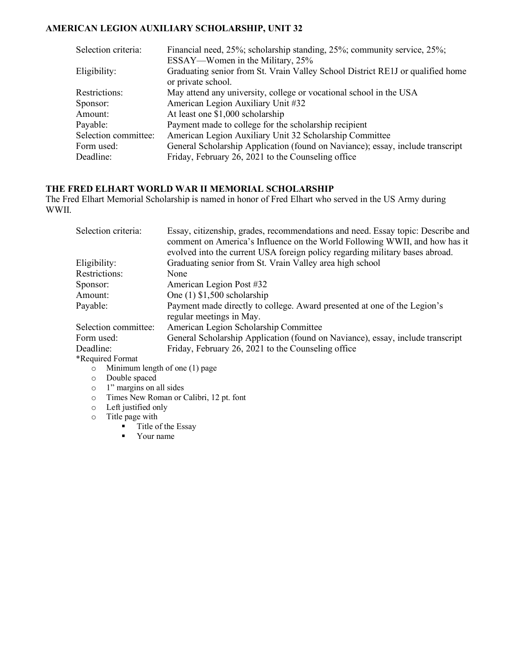# **AMERICAN LEGION AUXILIARY SCHOLARSHIP, UNIT 32**

| Selection criteria:  | Financial need, 25%; scholarship standing, 25%; community service, 25%;        |
|----------------------|--------------------------------------------------------------------------------|
|                      | ESSAY—Women in the Military, 25%                                               |
| Eligibility:         | Graduating senior from St. Vrain Valley School District RE1J or qualified home |
|                      | or private school.                                                             |
| Restrictions:        | May attend any university, college or vocational school in the USA             |
| Sponsor:             | American Legion Auxiliary Unit #32                                             |
| Amount:              | At least one \$1,000 scholarship                                               |
| Payable:             | Payment made to college for the scholarship recipient                          |
| Selection committee: | American Legion Auxiliary Unit 32 Scholarship Committee                        |
| Form used:           | General Scholarship Application (found on Naviance); essay, include transcript |
| Deadline:            | Friday, February 26, 2021 to the Counseling office                             |

#### **THE FRED ELHART WORLD WAR II MEMORIAL SCHOLARSHIP**

The Fred Elhart Memorial Scholarship is named in honor of Fred Elhart who served in the US Army during WWII.

| Selection criteria:                   | Essay, citizenship, grades, recommendations and need. Essay topic: Describe and<br>comment on America's Influence on the World Following WWII, and how has it |
|---------------------------------------|---------------------------------------------------------------------------------------------------------------------------------------------------------------|
|                                       | evolved into the current USA foreign policy regarding military bases abroad.                                                                                  |
| Eligibility:                          | Graduating senior from St. Vrain Valley area high school                                                                                                      |
| Restrictions:                         | None                                                                                                                                                          |
| Sponsor:                              | American Legion Post #32                                                                                                                                      |
| Amount:                               | One $(1)$ \$1,500 scholarship                                                                                                                                 |
| Payable:                              | Payment made directly to college. Award presented at one of the Legion's<br>regular meetings in May.                                                          |
| Selection committee:                  | American Legion Scholarship Committee                                                                                                                         |
| Form used:                            | General Scholarship Application (found on Naviance), essay, include transcript                                                                                |
| Deadline:                             | Friday, February 26, 2021 to the Counseling office                                                                                                            |
| *Required Format                      |                                                                                                                                                               |
| $\sim$ Minimum length of one (1) nage |                                                                                                                                                               |

- o Minimum length of one (1) page
- o Double spaced
- o 1" margins on all sides
- o Times New Roman or Calibri, 12 pt. font
- o Left justified only
- $\circ$  Title page with
	- $\overline{\phantom{a}}$  Title of the Essay
	- Your name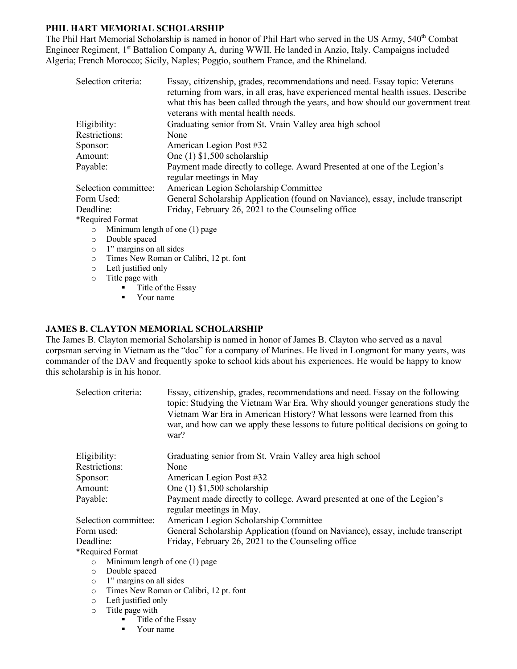## **PHIL HART MEMORIAL SCHOLARSHIP**

The Phil Hart Memorial Scholarship is named in honor of Phil Hart who served in the US Army, 540<sup>th</sup> Combat Engineer Regiment, 1<sup>st</sup> Battalion Company A, during WWII. He landed in Anzio, Italy. Campaigns included Algeria; French Morocco; Sicily, Naples; Poggio, southern France, and the Rhineland.

| Selection criteria:                     | Essay, citizenship, grades, recommendations and need. Essay topic: Veterans<br>returning from wars, in all eras, have experienced mental health issues. Describe |
|-----------------------------------------|------------------------------------------------------------------------------------------------------------------------------------------------------------------|
|                                         | what this has been called through the years, and how should our government treat<br>veterans with mental health needs.                                           |
|                                         |                                                                                                                                                                  |
| Eligibility:                            | Graduating senior from St. Vrain Valley area high school                                                                                                         |
| Restrictions:                           | None                                                                                                                                                             |
| Sponsor:                                | American Legion Post #32                                                                                                                                         |
| Amount:                                 | One $(1)$ \$1,500 scholarship                                                                                                                                    |
| Payable:                                | Payment made directly to college. Award Presented at one of the Legion's<br>regular meetings in May                                                              |
| Selection committee:                    | American Legion Scholarship Committee                                                                                                                            |
| Form Used:                              | General Scholarship Application (found on Naviance), essay, include transcript                                                                                   |
| Deadline:                               | Friday, February 26, 2021 to the Counseling office                                                                                                               |
| *Required Format                        |                                                                                                                                                                  |
| $\sim$ Minimum lapath of ang $(1)$ naga |                                                                                                                                                                  |

- o Minimum length of one (1) page
- o Double spaced o 1" margins on all sides
- o Times New Roman or Calibri, 12 pt. font
- o Left justified only
- o Title page with
	- Title of the Essay
	- § Your name

#### **JAMES B. CLAYTON MEMORIAL SCHOLARSHIP**

The James B. Clayton memorial Scholarship is named in honor of James B. Clayton who served as a naval corpsman serving in Vietnam as the "doc" for a company of Marines. He lived in Longmont for many years, was commander of the DAV and frequently spoke to school kids about his experiences. He would be happy to know this scholarship is in his honor.

|                                          | Selection criteria:                     | Essay, citizenship, grades, recommendations and need. Essay on the following<br>topic: Studying the Vietnam War Era. Why should younger generations study the<br>Vietnam War Era in American History? What lessons were learned from this<br>war, and how can we apply these lessons to future political decisions on going to<br>war? |
|------------------------------------------|-----------------------------------------|----------------------------------------------------------------------------------------------------------------------------------------------------------------------------------------------------------------------------------------------------------------------------------------------------------------------------------------|
| Eligibility:                             |                                         | Graduating senior from St. Vrain Valley area high school                                                                                                                                                                                                                                                                               |
| Restrictions:<br>None                    |                                         |                                                                                                                                                                                                                                                                                                                                        |
| Sponsor:                                 |                                         | American Legion Post #32                                                                                                                                                                                                                                                                                                               |
| One $(1)$ \$1,500 scholarship<br>Amount: |                                         |                                                                                                                                                                                                                                                                                                                                        |
| Payable:                                 |                                         | Payment made directly to college. Award presented at one of the Legion's<br>regular meetings in May.                                                                                                                                                                                                                                   |
|                                          | Selection committee:                    | American Legion Scholarship Committee                                                                                                                                                                                                                                                                                                  |
| Form used:                               |                                         | General Scholarship Application (found on Naviance), essay, include transcript                                                                                                                                                                                                                                                         |
| Deadline:                                |                                         | Friday, February 26, 2021 to the Counseling office                                                                                                                                                                                                                                                                                     |
|                                          | *Required Format                        |                                                                                                                                                                                                                                                                                                                                        |
| $\circ$                                  | Minimum length of one (1) page          |                                                                                                                                                                                                                                                                                                                                        |
| $\circ$                                  | Double spaced                           |                                                                                                                                                                                                                                                                                                                                        |
| $\circ$                                  | 1" margins on all sides                 |                                                                                                                                                                                                                                                                                                                                        |
| $\circ$                                  | Times New Roman or Calibri, 12 pt. font |                                                                                                                                                                                                                                                                                                                                        |
| $\circ$                                  | Left justified only                     |                                                                                                                                                                                                                                                                                                                                        |
| $\circ$                                  | Title page with                         |                                                                                                                                                                                                                                                                                                                                        |

- § Title of the Essay
- § Your name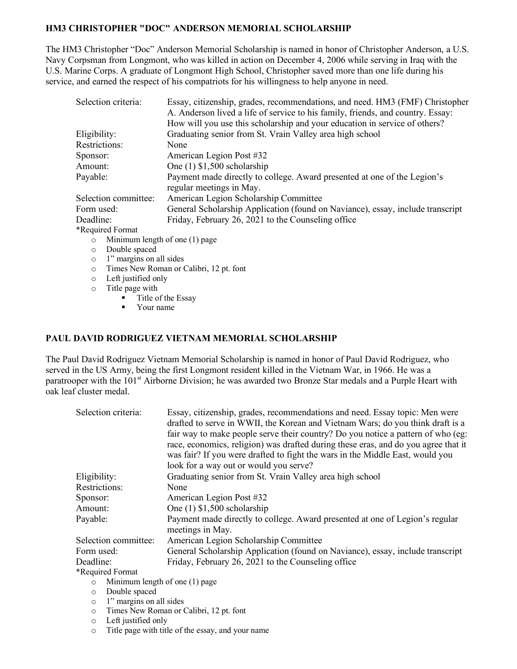### **HM3 CHRISTOPHER "DOC" ANDERSON MEMORIAL SCHOLARSHIP**

The HM3 Christopher "Doc" Anderson Memorial Scholarship is named in honor of Christopher Anderson, a U.S. Navy Corpsman from Longmont, who was killed in action on December 4, 2006 while serving in Iraq with the U.S. Marine Corps. A graduate of Longmont High School, Christopher saved more than one life during his service, and earned the respect of his compatriots for his willingness to help anyone in need.

| Selection criteria:                         | Essay, citizenship, grades, recommendations, and need. HM3 (FMF) Christopher<br>A. Anderson lived a life of service to his family, friends, and country. Essay:<br>How will you use this scholarship and your education in service of others? |  |
|---------------------------------------------|-----------------------------------------------------------------------------------------------------------------------------------------------------------------------------------------------------------------------------------------------|--|
| Eligibility:                                | Graduating senior from St. Vrain Valley area high school                                                                                                                                                                                      |  |
| <b>Restrictions:</b>                        | None                                                                                                                                                                                                                                          |  |
| Sponsor:                                    | American Legion Post #32                                                                                                                                                                                                                      |  |
| Amount:                                     | One $(1)$ \$1,500 scholarship                                                                                                                                                                                                                 |  |
| Payable:                                    | Payment made directly to college. Award presented at one of the Legion's<br>regular meetings in May.                                                                                                                                          |  |
| Selection committee:                        | American Legion Scholarship Committee                                                                                                                                                                                                         |  |
| Form used:                                  | General Scholarship Application (found on Naviance), essay, include transcript                                                                                                                                                                |  |
| Deadline:                                   | Friday, February 26, 2021 to the Counseling office                                                                                                                                                                                            |  |
| *Required Format                            |                                                                                                                                                                                                                                               |  |
| Minimum length of one $(1)$ page<br>$\circ$ |                                                                                                                                                                                                                                               |  |
| Double spaced<br>$\circ$                    |                                                                                                                                                                                                                                               |  |
| $\circ$                                     | 1" margins on all sides                                                                                                                                                                                                                       |  |
| $\circ$                                     | Times New Roman or Calibri, 12 pt. font                                                                                                                                                                                                       |  |

- o Left justified only
- o Title page with
	- Title of the Essay
	- Your name

#### **PAUL DAVID RODRIGUEZ VIETNAM MEMORIAL SCHOLARSHIP**

The Paul David Rodriguez Vietnam Memorial Scholarship is named in honor of Paul David Rodriguez, who served in the US Army, being the first Longmont resident killed in the Vietnam War, in 1966. He was a paratrooper with the 101<sup>st</sup> Airborne Division; he was awarded two Bronze Star medals and a Purple Heart with oak leaf cluster medal.

| Selection criteria:                | Essay, citizenship, grades, recommendations and need. Essay topic: Men were<br>drafted to serve in WWII, the Korean and Vietnam Wars; do you think draft is a<br>fair way to make people serve their country? Do you notice a pattern of who (eg:<br>race, economics, religion) was drafted during these eras, and do you agree that it<br>was fair? If you were drafted to fight the wars in the Middle East, would you<br>look for a way out or would you serve? |
|------------------------------------|--------------------------------------------------------------------------------------------------------------------------------------------------------------------------------------------------------------------------------------------------------------------------------------------------------------------------------------------------------------------------------------------------------------------------------------------------------------------|
| Eligibility:                       | Graduating senior from St. Vrain Valley area high school                                                                                                                                                                                                                                                                                                                                                                                                           |
| Restrictions:                      | None                                                                                                                                                                                                                                                                                                                                                                                                                                                               |
| Sponsor:                           | American Legion Post #32                                                                                                                                                                                                                                                                                                                                                                                                                                           |
| Amount:                            | One $(1)$ \$1,500 scholarship                                                                                                                                                                                                                                                                                                                                                                                                                                      |
| Payable:                           | Payment made directly to college. Award presented at one of Legion's regular<br>meetings in May.                                                                                                                                                                                                                                                                                                                                                                   |
| Selection committee:               | American Legion Scholarship Committee                                                                                                                                                                                                                                                                                                                                                                                                                              |
| Form used:                         | General Scholarship Application (found on Naviance), essay, include transcript                                                                                                                                                                                                                                                                                                                                                                                     |
| Deadline:                          | Friday, February 26, 2021 to the Counseling office                                                                                                                                                                                                                                                                                                                                                                                                                 |
| *Required Format                   |                                                                                                                                                                                                                                                                                                                                                                                                                                                                    |
| $\circ$                            | Minimum length of one (1) page                                                                                                                                                                                                                                                                                                                                                                                                                                     |
| Double spaced<br>$\circ$           |                                                                                                                                                                                                                                                                                                                                                                                                                                                                    |
| 1" margins on all sides<br>$\circ$ |                                                                                                                                                                                                                                                                                                                                                                                                                                                                    |

- o Times New Roman or Calibri, 12 pt. font
- o Left justified only
- o Title page with title of the essay, and your name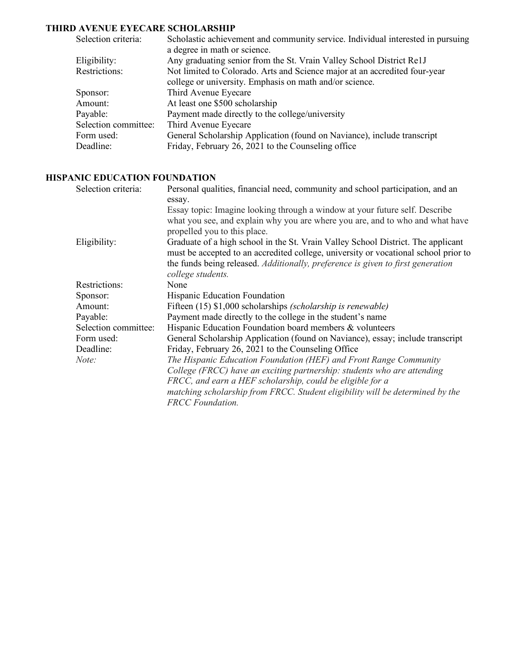# **THIRD AVENUE EYECARE SCHOLARSHIP**

| Selection criteria:  | Scholastic achievement and community service. Individual interested in pursuing |
|----------------------|---------------------------------------------------------------------------------|
|                      | a degree in math or science.                                                    |
| Eligibility:         | Any graduating senior from the St. Vrain Valley School District Re1J            |
| Restrictions:        | Not limited to Colorado. Arts and Science major at an accredited four-year      |
|                      | college or university. Emphasis on math and/or science.                         |
| Sponsor:             | Third Avenue Eyecare                                                            |
| Amount:              | At least one \$500 scholarship                                                  |
| Payable:             | Payment made directly to the college/university                                 |
| Selection committee: | Third Avenue Eyecare                                                            |
| Form used:           | General Scholarship Application (found on Naviance), include transcript         |
| Deadline:            | Friday, February 26, 2021 to the Counseling office                              |
|                      |                                                                                 |

## **HISPANIC EDUCATION FOUNDATION**

| Selection criteria:  | Personal qualities, financial need, community and school participation, and an      |
|----------------------|-------------------------------------------------------------------------------------|
|                      | essay.                                                                              |
|                      | Essay topic: Imagine looking through a window at your future self. Describe         |
|                      | what you see, and explain why you are where you are, and to who and what have       |
|                      | propelled you to this place.                                                        |
| Eligibility:         | Graduate of a high school in the St. Vrain Valley School District. The applicant    |
|                      | must be accepted to an accredited college, university or vocational school prior to |
|                      | the funds being released. Additionally, preference is given to first generation     |
|                      | college students.                                                                   |
| Restrictions:        | None                                                                                |
| Sponsor:             | Hispanic Education Foundation                                                       |
| Amount:              | Fifteen (15) \$1,000 scholarships (scholarship is renewable)                        |
| Payable:             | Payment made directly to the college in the student's name                          |
| Selection committee: | Hispanic Education Foundation board members & volunteers                            |
| Form used:           | General Scholarship Application (found on Naviance), essay; include transcript      |
| Deadline:            | Friday, February 26, 2021 to the Counseling Office                                  |
| Note:                | The Hispanic Education Foundation (HEF) and Front Range Community                   |
|                      | College (FRCC) have an exciting partnership: students who are attending             |
|                      | FRCC, and earn a HEF scholarship, could be eligible for a                           |
|                      | matching scholarship from FRCC. Student eligibility will be determined by the       |
|                      | <b>FRCC</b> Foundation.                                                             |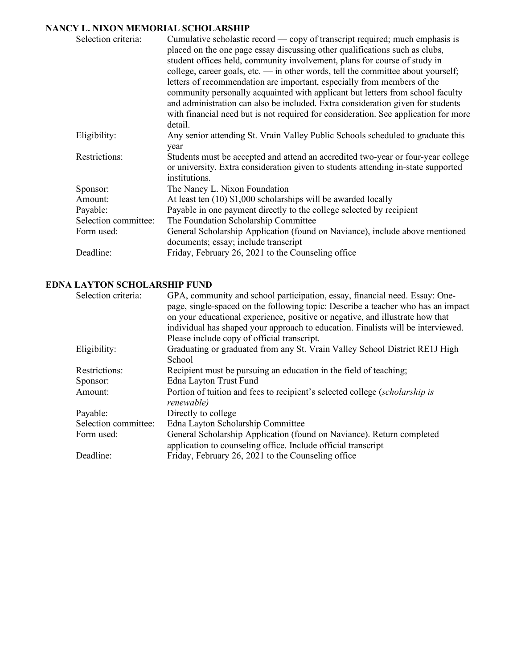## **NANCY L. NIXON MEMORIAL SCHOLARSHIP**

| Selection criteria:  | Cumulative scholastic record — copy of transcript required; much emphasis is        |
|----------------------|-------------------------------------------------------------------------------------|
|                      | placed on the one page essay discussing other qualifications such as clubs,         |
|                      | student offices held, community involvement, plans for course of study in           |
|                      | college, career goals, etc. $-$ in other words, tell the committee about yourself;  |
|                      | letters of recommendation are important, especially from members of the             |
|                      | community personally acquainted with applicant but letters from school faculty      |
|                      | and administration can also be included. Extra consideration given for students     |
|                      | with financial need but is not required for consideration. See application for more |
|                      | detail.                                                                             |
| Eligibility:         | Any senior attending St. Vrain Valley Public Schools scheduled to graduate this     |
|                      | year                                                                                |
| Restrictions:        | Students must be accepted and attend an accredited two-year or four-year college    |
|                      | or university. Extra consideration given to students attending in-state supported   |
|                      | institutions.                                                                       |
| Sponsor:             | The Nancy L. Nixon Foundation                                                       |
| Amount:              | At least ten (10) \$1,000 scholarships will be awarded locally                      |
| Payable:             | Payable in one payment directly to the college selected by recipient                |
| Selection committee: | The Foundation Scholarship Committee                                                |
| Form used:           | General Scholarship Application (found on Naviance), include above mentioned        |
|                      | documents; essay; include transcript                                                |
| Deadline:            | Friday, February 26, 2021 to the Counseling office                                  |

## **EDNA LAYTON SCHOLARSHIP FUND**

| Selection criteria:  | GPA, community and school participation, essay, financial need. Essay: One-      |
|----------------------|----------------------------------------------------------------------------------|
|                      | page, single-spaced on the following topic: Describe a teacher who has an impact |
|                      | on your educational experience, positive or negative, and illustrate how that    |
|                      | individual has shaped your approach to education. Finalists will be interviewed. |
|                      | Please include copy of official transcript.                                      |
| Eligibility:         | Graduating or graduated from any St. Vrain Valley School District RE1J High      |
|                      | School                                                                           |
| Restrictions:        | Recipient must be pursuing an education in the field of teaching;                |
| Sponsor:             | Edna Layton Trust Fund                                                           |
| Amount:              | Portion of tuition and fees to recipient's selected college (scholarship is      |
|                      | renewable)                                                                       |
| Payable:             | Directly to college                                                              |
| Selection committee: | Edna Layton Scholarship Committee                                                |
| Form used:           | General Scholarship Application (found on Naviance). Return completed            |
|                      | application to counseling office. Include official transcript                    |
| Deadline:            | Friday, February 26, 2021 to the Counseling office                               |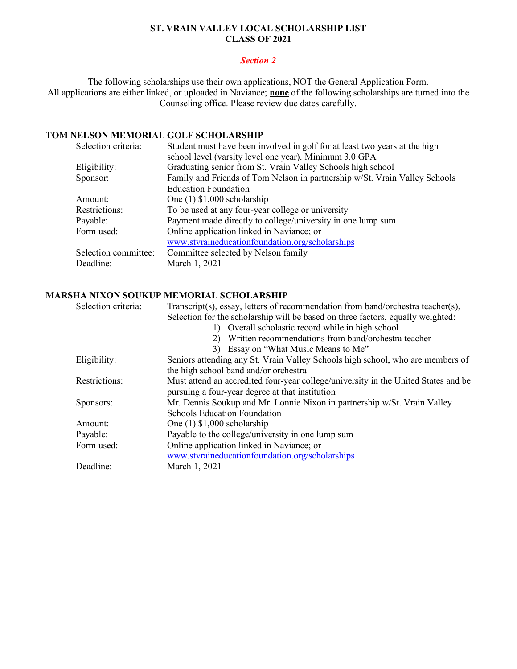## **ST. VRAIN VALLEY LOCAL SCHOLARSHIP LIST CLASS OF 2021**

#### *Section 2*

The following scholarships use their own applications, NOT the General Application Form. All applications are either linked, or uploaded in Naviance; **none** of the following scholarships are turned into the Counseling office. Please review due dates carefully.

### **TOM NELSON MEMORIAL GOLF SCHOLARSHIP**

| Selection criteria:  | Student must have been involved in golf for at least two years at the high |
|----------------------|----------------------------------------------------------------------------|
|                      | school level (varsity level one year). Minimum 3.0 GPA                     |
| Eligibility:         | Graduating senior from St. Vrain Valley Schools high school                |
| Sponsor:             | Family and Friends of Tom Nelson in partnership w/St. Vrain Valley Schools |
|                      | <b>Education Foundation</b>                                                |
| Amount:              | One $(1)$ \$1,000 scholarship                                              |
| Restrictions:        | To be used at any four-year college or university                          |
| Payable:             | Payment made directly to college/university in one lump sum                |
| Form used:           | Online application linked in Naviance; or                                  |
|                      | www.stvraineducationfoundation.org/scholarships                            |
| Selection committee: | Committee selected by Nelson family                                        |
| Deadline:            | March 1, 2021                                                              |
|                      |                                                                            |

### **MARSHA NIXON SOUKUP MEMORIAL SCHOLARSHIP**

| Selection criteria: | Transcript(s), essay, letters of recommendation from band/orchestra teacher(s),    |
|---------------------|------------------------------------------------------------------------------------|
|                     | Selection for the scholarship will be based on three factors, equally weighted:    |
|                     | 1) Overall scholastic record while in high school                                  |
|                     | Written recommendations from band/orchestra teacher<br>2)                          |
|                     | 3) Essay on "What Music Means to Me"                                               |
| Eligibility:        | Seniors attending any St. Vrain Valley Schools high school, who are members of     |
|                     | the high school band and/or orchestra                                              |
| Restrictions:       | Must attend an accredited four-year college/university in the United States and be |
|                     | pursuing a four-year degree at that institution                                    |
| Sponsors:           | Mr. Dennis Soukup and Mr. Lonnie Nixon in partnership w/St. Vrain Valley           |
|                     | <b>Schools Education Foundation</b>                                                |
| Amount:             | One $(1)$ \$1,000 scholarship                                                      |
| Payable:            | Payable to the college/university in one lump sum                                  |
| Form used:          | Online application linked in Naviance; or                                          |
|                     | www.stvraineducationfoundation.org/scholarships                                    |
| Deadline:           | March 1, 2021                                                                      |
|                     |                                                                                    |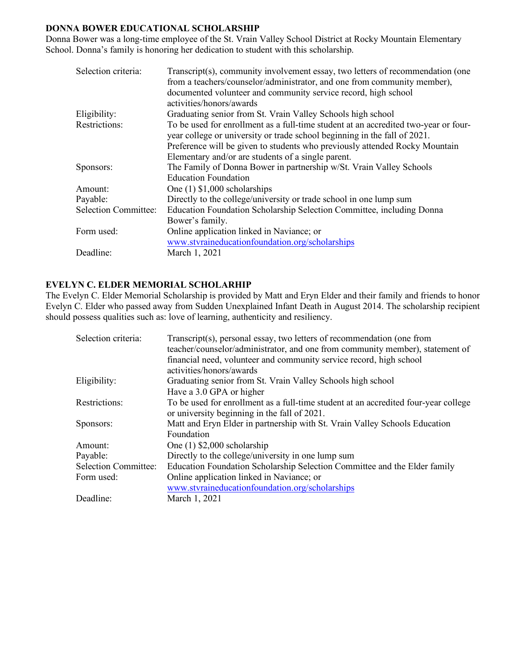## **DONNA BOWER EDUCATIONAL SCHOLARSHIP**

Donna Bower was a long-time employee of the St. Vrain Valley School District at Rocky Mountain Elementary School. Donna's family is honoring her dedication to student with this scholarship.

| Selection criteria:         | Transcript(s), community involvement essay, two letters of recommendation (one<br>from a teachers/counselor/administrator, and one from community member),<br>documented volunteer and community service record, high school<br>activities/honors/awards |
|-----------------------------|----------------------------------------------------------------------------------------------------------------------------------------------------------------------------------------------------------------------------------------------------------|
| Eligibility:                | Graduating senior from St. Vrain Valley Schools high school                                                                                                                                                                                              |
| Restrictions:               | To be used for enrollment as a full-time student at an accredited two-year or four-<br>year college or university or trade school beginning in the fall of 2021.<br>Preference will be given to students who previously attended Rocky Mountain          |
|                             | Elementary and/or are students of a single parent.                                                                                                                                                                                                       |
| Sponsors:                   | The Family of Donna Bower in partnership w/St. Vrain Valley Schools<br><b>Education Foundation</b>                                                                                                                                                       |
| Amount:                     | One $(1)$ \$1,000 scholarships                                                                                                                                                                                                                           |
| Payable:                    | Directly to the college/university or trade school in one lump sum                                                                                                                                                                                       |
| <b>Selection Committee:</b> | Education Foundation Scholarship Selection Committee, including Donna<br>Bower's family.                                                                                                                                                                 |
| Form used:                  | Online application linked in Naviance; or<br>www.stvraineducationfoundation.org/scholarships                                                                                                                                                             |
| Deadline:                   | March 1, 2021                                                                                                                                                                                                                                            |

#### **EVELYN C. ELDER MEMORIAL SCHOLARHIP**

The Evelyn C. Elder Memorial Scholarship is provided by Matt and Eryn Elder and their family and friends to honor Evelyn C. Elder who passed away from Sudden Unexplained Infant Death in August 2014. The scholarship recipient should possess qualities such as: love of learning, authenticity and resiliency.

| Selection criteria:         | Transcript(s), personal essay, two letters of recommendation (one from<br>teacher/counselor/administrator, and one from community member), statement of |
|-----------------------------|---------------------------------------------------------------------------------------------------------------------------------------------------------|
|                             | financial need, volunteer and community service record, high school                                                                                     |
|                             | activities/honors/awards                                                                                                                                |
| Eligibility:                | Graduating senior from St. Vrain Valley Schools high school                                                                                             |
|                             | Have a 3.0 GPA or higher                                                                                                                                |
| Restrictions:               | To be used for enrollment as a full-time student at an accredited four-year college                                                                     |
|                             | or university beginning in the fall of 2021.                                                                                                            |
| Sponsors:                   | Matt and Eryn Elder in partnership with St. Vrain Valley Schools Education                                                                              |
|                             | Foundation                                                                                                                                              |
| Amount:                     | One $(1)$ \$2,000 scholarship                                                                                                                           |
| Payable:                    | Directly to the college/university in one lump sum                                                                                                      |
| <b>Selection Committee:</b> | Education Foundation Scholarship Selection Committee and the Elder family                                                                               |
| Form used:                  | Online application linked in Naviance; or                                                                                                               |
|                             | www.stvraineducationfoundation.org/scholarships                                                                                                         |
| Deadline:                   | March 1, 2021                                                                                                                                           |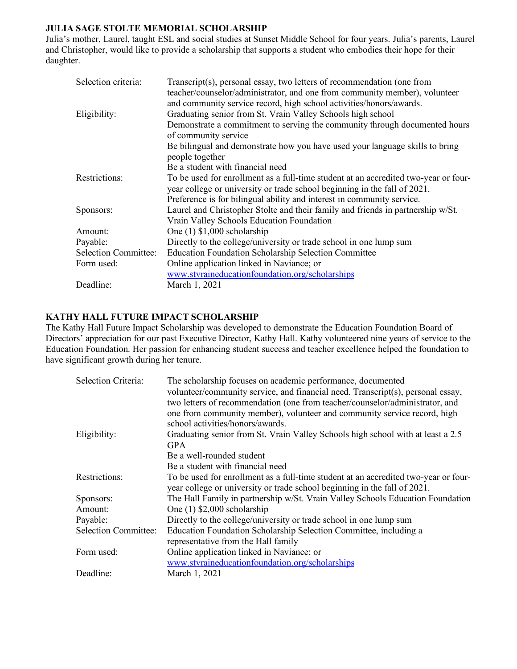## **JULIA SAGE STOLTE MEMORIAL SCHOLARSHIP**

Julia's mother, Laurel, taught ESL and social studies at Sunset Middle School for four years. Julia's parents, Laurel and Christopher, would like to provide a scholarship that supports a student who embodies their hope for their daughter.

| Selection criteria:         | Transcript(s), personal essay, two letters of recommendation (one from<br>teacher/counselor/administrator, and one from community member), volunteer<br>and community service record, high school activities/honors/awards. |
|-----------------------------|-----------------------------------------------------------------------------------------------------------------------------------------------------------------------------------------------------------------------------|
| Eligibility:                | Graduating senior from St. Vrain Valley Schools high school                                                                                                                                                                 |
|                             | Demonstrate a commitment to serving the community through documented hours                                                                                                                                                  |
|                             | of community service                                                                                                                                                                                                        |
|                             | Be bilingual and demonstrate how you have used your language skills to bring<br>people together                                                                                                                             |
|                             | Be a student with financial need                                                                                                                                                                                            |
| Restrictions:               | To be used for enrollment as a full-time student at an accredited two-year or four-<br>year college or university or trade school beginning in the fall of 2021.                                                            |
|                             | Preference is for bilingual ability and interest in community service.                                                                                                                                                      |
| Sponsors:                   | Laurel and Christopher Stolte and their family and friends in partnership w/St.                                                                                                                                             |
|                             | Vrain Valley Schools Education Foundation                                                                                                                                                                                   |
| Amount:                     | One $(1)$ \$1,000 scholarship                                                                                                                                                                                               |
| Payable:                    | Directly to the college/university or trade school in one lump sum                                                                                                                                                          |
| <b>Selection Committee:</b> | Education Foundation Scholarship Selection Committee                                                                                                                                                                        |
| Form used:                  | Online application linked in Naviance; or                                                                                                                                                                                   |
|                             | www.stvraineducationfoundation.org/scholarships                                                                                                                                                                             |
| Deadline:                   | March 1, 2021                                                                                                                                                                                                               |

### **KATHY HALL FUTURE IMPACT SCHOLARSHIP**

The Kathy Hall Future Impact Scholarship was developed to demonstrate the Education Foundation Board of Directors' appreciation for our past Executive Director, Kathy Hall. Kathy volunteered nine years of service to the Education Foundation. Her passion for enhancing student success and teacher excellence helped the foundation to have significant growth during her tenure.

| Selection Criteria:         | The scholarship focuses on academic performance, documented<br>volunteer/community service, and financial need. Transcript(s), personal essay,<br>two letters of recommendation (one from teacher/counselor/administrator, and<br>one from community member), volunteer and community service record, high<br>school activities/honors/awards. |
|-----------------------------|------------------------------------------------------------------------------------------------------------------------------------------------------------------------------------------------------------------------------------------------------------------------------------------------------------------------------------------------|
| Eligibility:                | Graduating senior from St. Vrain Valley Schools high school with at least a 2.5<br><b>GPA</b>                                                                                                                                                                                                                                                  |
|                             | Be a well-rounded student                                                                                                                                                                                                                                                                                                                      |
|                             | Be a student with financial need                                                                                                                                                                                                                                                                                                               |
| Restrictions:               | To be used for enrollment as a full-time student at an accredited two-year or four-<br>year college or university or trade school beginning in the fall of 2021.                                                                                                                                                                               |
| Sponsors:                   | The Hall Family in partnership w/St. Vrain Valley Schools Education Foundation                                                                                                                                                                                                                                                                 |
| Amount:                     | One $(1)$ \$2,000 scholarship                                                                                                                                                                                                                                                                                                                  |
| Payable:                    | Directly to the college/university or trade school in one lump sum                                                                                                                                                                                                                                                                             |
| <b>Selection Committee:</b> | Education Foundation Scholarship Selection Committee, including a<br>representative from the Hall family                                                                                                                                                                                                                                       |
| Form used:                  | Online application linked in Naviance; or<br>www.stvraineducationfoundation.org/scholarships                                                                                                                                                                                                                                                   |
| Deadline:                   | March 1, 2021                                                                                                                                                                                                                                                                                                                                  |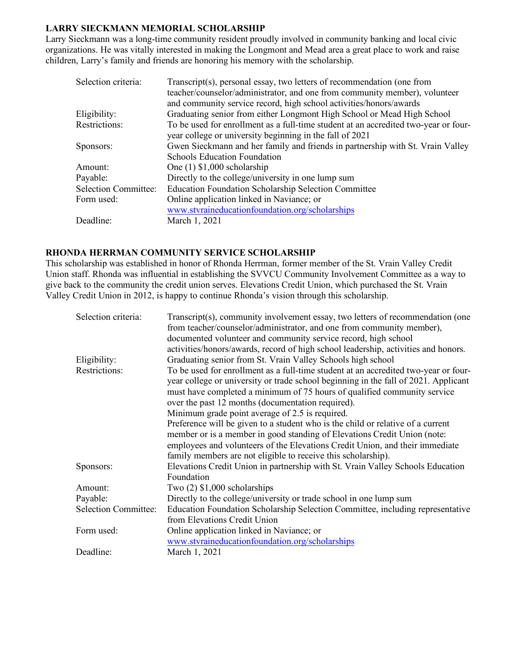### **LARRY SIECKMANN MEMORIAL SCHOLARSHIP**

Larry Sieckmann was a long-time community resident proudly involved in community banking and local civic organizations. He was vitally interested in making the Longmont and Mead area a great place to work and raise children, Larry's family and friends are honoring his memory with the scholarship.

| Selection criteria:         | Transcript(s), personal essay, two letters of recommendation (one from              |
|-----------------------------|-------------------------------------------------------------------------------------|
|                             | teacher/counselor/administrator, and one from community member), volunteer          |
|                             | and community service record, high school activities/honors/awards                  |
| Eligibility:                | Graduating senior from either Longmont High School or Mead High School              |
| Restrictions:               | To be used for enrollment as a full-time student at an accredited two-year or four- |
|                             | year college or university beginning in the fall of 2021                            |
| Sponsors:                   | Gwen Sieckmann and her family and friends in partnership with St. Vrain Valley      |
|                             | <b>Schools Education Foundation</b>                                                 |
| Amount:                     | One $(1)$ \$1,000 scholarship                                                       |
| Payable:                    | Directly to the college/university in one lump sum                                  |
| <b>Selection Committee:</b> | Education Foundation Scholarship Selection Committee                                |
| Form used:                  | Online application linked in Naviance; or                                           |
|                             | www.stvraineducationfoundation.org/scholarships                                     |
| Deadline:                   | March 1, 2021                                                                       |

#### **RHONDA HERRMAN COMMUNITY SERVICE SCHOLARSHIP**

This scholarship was established in honor of Rhonda Herrman, former member of the St. Vrain Valley Credit Union staff. Rhonda was influential in establishing the SVVCU Community Involvement Committee as a way to give back to the community the credit union serves. Elevations Credit Union, which purchased the St. Vrain Valley Credit Union in 2012, is happy to continue Rhonda's vision through this scholarship.

| Transcript(s), community involvement essay, two letters of recommendation (one<br>from teacher/counselor/administrator, and one from community member), |
|---------------------------------------------------------------------------------------------------------------------------------------------------------|
| documented volunteer and community service record, high school                                                                                          |
| activities/honors/awards, record of high school leadership, activities and honors.                                                                      |
| Graduating senior from St. Vrain Valley Schools high school                                                                                             |
| To be used for enrollment as a full-time student at an accredited two-year or four-                                                                     |
| year college or university or trade school beginning in the fall of 2021. Applicant                                                                     |
| must have completed a minimum of 75 hours of qualified community service                                                                                |
| over the past 12 months (documentation required).                                                                                                       |
| Minimum grade point average of 2.5 is required.                                                                                                         |
| Preference will be given to a student who is the child or relative of a current                                                                         |
| member or is a member in good standing of Elevations Credit Union (note:                                                                                |
| employees and volunteers of the Elevations Credit Union, and their immediate                                                                            |
| family members are not eligible to receive this scholarship).                                                                                           |
| Elevations Credit Union in partnership with St. Vrain Valley Schools Education                                                                          |
| Foundation                                                                                                                                              |
| Two $(2)$ \$1,000 scholarships                                                                                                                          |
| Directly to the college/university or trade school in one lump sum                                                                                      |
| Education Foundation Scholarship Selection Committee, including representative                                                                          |
| from Elevations Credit Union                                                                                                                            |
| Online application linked in Naviance; or                                                                                                               |
| www.stvraineducationfoundation.org/scholarships                                                                                                         |
| March 1, 2021                                                                                                                                           |
|                                                                                                                                                         |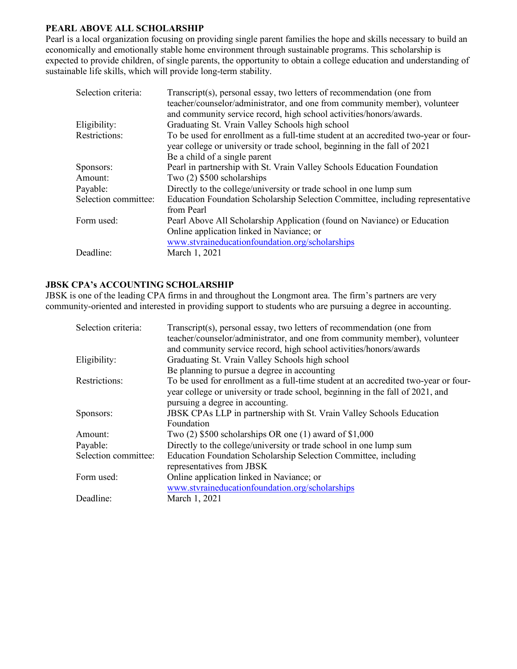## **PEARL ABOVE ALL SCHOLARSHIP**

Pearl is a local organization focusing on providing single parent families the hope and skills necessary to build an economically and emotionally stable home environment through sustainable programs. This scholarship is expected to provide children, of single parents, the opportunity to obtain a college education and understanding of sustainable life skills, which will provide long-term stability.

| Selection criteria:  | Transcript(s), personal essay, two letters of recommendation (one from              |
|----------------------|-------------------------------------------------------------------------------------|
|                      | teacher/counselor/administrator, and one from community member), volunteer          |
|                      | and community service record, high school activities/honors/awards.                 |
| Eligibility:         | Graduating St. Vrain Valley Schools high school                                     |
| <b>Restrictions:</b> | To be used for enrollment as a full-time student at an accredited two-year or four- |
|                      | year college or university or trade school, beginning in the fall of 2021           |
|                      | Be a child of a single parent                                                       |
| Sponsors:            | Pearl in partnership with St. Vrain Valley Schools Education Foundation             |
| Amount:              | Two $(2)$ \$500 scholarships                                                        |
| Payable:             | Directly to the college/university or trade school in one lump sum                  |
| Selection committee: | Education Foundation Scholarship Selection Committee, including representative      |
|                      | from Pearl                                                                          |
| Form used:           | Pearl Above All Scholarship Application (found on Naviance) or Education            |
|                      | Online application linked in Naviance; or                                           |
|                      | www.stvraineducationfoundation.org/scholarships                                     |
| Deadline:            | March 1, 2021                                                                       |
|                      |                                                                                     |

#### **JBSK CPA's ACCOUNTING SCHOLARSHIP**

JBSK is one of the leading CPA firms in and throughout the Longmont area. The firm's partners are very community-oriented and interested in providing support to students who are pursuing a degree in accounting.

| Selection criteria:  | Transcript(s), personal essay, two letters of recommendation (one from<br>teacher/counselor/administrator, and one from community member), volunteer<br>and community service record, high school activities/honors/awards |
|----------------------|----------------------------------------------------------------------------------------------------------------------------------------------------------------------------------------------------------------------------|
| Eligibility:         | Graduating St. Vrain Valley Schools high school                                                                                                                                                                            |
|                      | Be planning to pursue a degree in accounting                                                                                                                                                                               |
| Restrictions:        | To be used for enrollment as a full-time student at an accredited two-year or four-                                                                                                                                        |
|                      | year college or university or trade school, beginning in the fall of 2021, and                                                                                                                                             |
|                      | pursuing a degree in accounting.                                                                                                                                                                                           |
| Sponsors:            | <b>JBSK CPAs LLP</b> in partnership with St. Vrain Valley Schools Education                                                                                                                                                |
|                      | Foundation                                                                                                                                                                                                                 |
| Amount:              | Two $(2)$ \$500 scholarships OR one $(1)$ award of \$1,000                                                                                                                                                                 |
| Payable:             | Directly to the college/university or trade school in one lump sum                                                                                                                                                         |
| Selection committee: | Education Foundation Scholarship Selection Committee, including                                                                                                                                                            |
|                      | representatives from JBSK                                                                                                                                                                                                  |
| Form used:           | Online application linked in Naviance; or                                                                                                                                                                                  |
|                      | www.stvraineducationfoundation.org/scholarships                                                                                                                                                                            |
| Deadline:            | March 1, 2021                                                                                                                                                                                                              |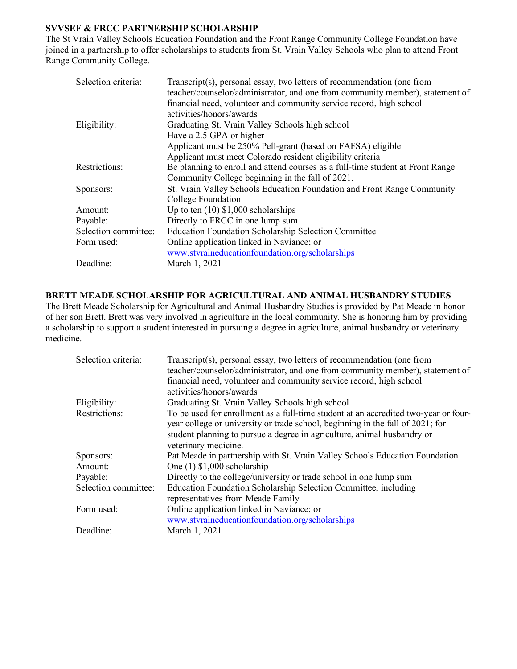### **SVVSEF & FRCC PARTNERSHIP SCHOLARSHIP**

The St Vrain Valley Schools Education Foundation and the Front Range Community College Foundation have joined in a partnership to offer scholarships to students from St. Vrain Valley Schools who plan to attend Front Range Community College.

| Transcript(s), personal essay, two letters of recommendation (one from<br>teacher/counselor/administrator, and one from community member), statement of<br>financial need, volunteer and community service record, high school<br>activities/honors/awards |
|------------------------------------------------------------------------------------------------------------------------------------------------------------------------------------------------------------------------------------------------------------|
| Graduating St. Vrain Valley Schools high school                                                                                                                                                                                                            |
| Have a 2.5 GPA or higher                                                                                                                                                                                                                                   |
| Applicant must be 250% Pell-grant (based on FAFSA) eligible                                                                                                                                                                                                |
| Applicant must meet Colorado resident eligibility criteria                                                                                                                                                                                                 |
| Be planning to enroll and attend courses as a full-time student at Front Range                                                                                                                                                                             |
| Community College beginning in the fall of 2021.                                                                                                                                                                                                           |
| St. Vrain Valley Schools Education Foundation and Front Range Community                                                                                                                                                                                    |
| College Foundation                                                                                                                                                                                                                                         |
| Up to ten $(10)$ \$1,000 scholarships                                                                                                                                                                                                                      |
| Directly to FRCC in one lump sum                                                                                                                                                                                                                           |
| Education Foundation Scholarship Selection Committee                                                                                                                                                                                                       |
| Online application linked in Naviance; or                                                                                                                                                                                                                  |
| www.stvraineducationfoundation.org/scholarships                                                                                                                                                                                                            |
| March 1, 2021                                                                                                                                                                                                                                              |
|                                                                                                                                                                                                                                                            |

### **BRETT MEADE SCHOLARSHIP FOR AGRICULTURAL AND ANIMAL HUSBANDRY STUDIES**

The Brett Meade Scholarship for Agricultural and Animal Husbandry Studies is provided by Pat Meade in honor of her son Brett. Brett was very involved in agriculture in the local community. She is honoring him by providing a scholarship to support a student interested in pursuing a degree in agriculture, animal husbandry or veterinary medicine.

| Selection criteria:  | Transcript(s), personal essay, two letters of recommendation (one from                                                                                                |
|----------------------|-----------------------------------------------------------------------------------------------------------------------------------------------------------------------|
|                      | teacher/counselor/administrator, and one from community member), statement of                                                                                         |
|                      | financial need, volunteer and community service record, high school                                                                                                   |
|                      | activities/honors/awards                                                                                                                                              |
| Eligibility:         | Graduating St. Vrain Valley Schools high school                                                                                                                       |
| Restrictions:        | To be used for enrollment as a full-time student at an accredited two-year or four-<br>year college or university or trade school, beginning in the fall of 2021; for |
|                      | student planning to pursue a degree in agriculture, animal husbandry or                                                                                               |
|                      | veterinary medicine.                                                                                                                                                  |
| Sponsors:            | Pat Meade in partnership with St. Vrain Valley Schools Education Foundation                                                                                           |
| Amount:              | One $(1)$ \$1,000 scholarship                                                                                                                                         |
| Payable:             | Directly to the college/university or trade school in one lump sum                                                                                                    |
| Selection committee: | Education Foundation Scholarship Selection Committee, including                                                                                                       |
|                      | representatives from Meade Family                                                                                                                                     |
| Form used:           | Online application linked in Naviance; or                                                                                                                             |
|                      | www.stvraineducationfoundation.org/scholarships                                                                                                                       |
| Deadline:            | March 1, 2021                                                                                                                                                         |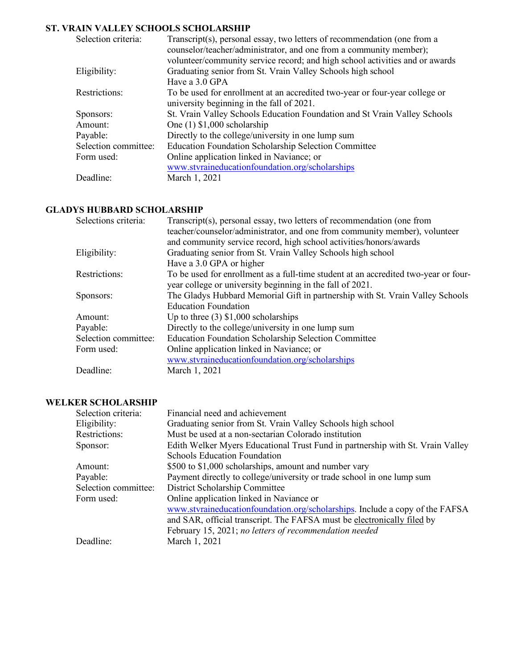# **ST. VRAIN VALLEY SCHOOLS SCHOLARSHIP**

| Selection criteria:  | Transcript(s), personal essay, two letters of recommendation (one from a<br>counselor/teacher/administrator, and one from a community member);<br>volunteer/community service record; and high school activities and or awards |
|----------------------|--------------------------------------------------------------------------------------------------------------------------------------------------------------------------------------------------------------------------------|
| Eligibility:         | Graduating senior from St. Vrain Valley Schools high school                                                                                                                                                                    |
|                      | Have a 3.0 GPA                                                                                                                                                                                                                 |
| Restrictions:        | To be used for enrollment at an accredited two-year or four-year college or                                                                                                                                                    |
|                      | university beginning in the fall of 2021.                                                                                                                                                                                      |
| Sponsors:            | St. Vrain Valley Schools Education Foundation and St Vrain Valley Schools                                                                                                                                                      |
| Amount:              | One $(1)$ \$1,000 scholarship                                                                                                                                                                                                  |
| Payable:             | Directly to the college/university in one lump sum                                                                                                                                                                             |
| Selection committee: | <b>Education Foundation Scholarship Selection Committee</b>                                                                                                                                                                    |
| Form used:           | Online application linked in Naviance; or                                                                                                                                                                                      |
|                      | www.stvraineducationfoundation.org/scholarships                                                                                                                                                                                |
| Deadline:            | March 1, 2021                                                                                                                                                                                                                  |

## **GLADYS HUBBARD SCHOLARSHIP**

| Selections criteria: | Transcript(s), personal essay, two letters of recommendation (one from<br>teacher/counselor/administrator, and one from community member), volunteer<br>and community service record, high school activities/honors/awards |
|----------------------|----------------------------------------------------------------------------------------------------------------------------------------------------------------------------------------------------------------------------|
| Eligibility:         | Graduating senior from St. Vrain Valley Schools high school                                                                                                                                                                |
|                      | Have a 3.0 GPA or higher                                                                                                                                                                                                   |
| Restrictions:        | To be used for enrollment as a full-time student at an accredited two-year or four-                                                                                                                                        |
|                      | year college or university beginning in the fall of 2021.                                                                                                                                                                  |
| Sponsors:            | The Gladys Hubbard Memorial Gift in partnership with St. Vrain Valley Schools                                                                                                                                              |
|                      | <b>Education Foundation</b>                                                                                                                                                                                                |
| Amount:              | Up to three $(3)$ \$1,000 scholarships                                                                                                                                                                                     |
| Payable:             | Directly to the college/university in one lump sum                                                                                                                                                                         |
| Selection committee: | <b>Education Foundation Scholarship Selection Committee</b>                                                                                                                                                                |
| Form used:           | Online application linked in Naviance; or                                                                                                                                                                                  |
|                      | www.stvraineducationfoundation.org/scholarships                                                                                                                                                                            |
| Deadline:            | March 1, 2021                                                                                                                                                                                                              |

#### **WELKER SCHOLARSHIP**

| Selection criteria:  | Financial need and achievement                                                 |
|----------------------|--------------------------------------------------------------------------------|
| Eligibility:         | Graduating senior from St. Vrain Valley Schools high school                    |
| Restrictions:        | Must be used at a non-sectarian Colorado institution                           |
| Sponsor:             | Edith Welker Myers Educational Trust Fund in partnership with St. Vrain Valley |
|                      | <b>Schools Education Foundation</b>                                            |
| Amount:              | \$500 to \$1,000 scholarships, amount and number vary                          |
| Payable:             | Payment directly to college/university or trade school in one lump sum         |
| Selection committee: | District Scholarship Committee                                                 |
| Form used:           | Online application linked in Naviance or                                       |
|                      | www.stvraineducationfoundation.org/scholarships. Include a copy of the FAFSA   |
|                      | and SAR, official transcript. The FAFSA must be electronically filed by        |
|                      | February 15, 2021; no letters of recommendation needed                         |
| Deadline:            | March 1, 2021                                                                  |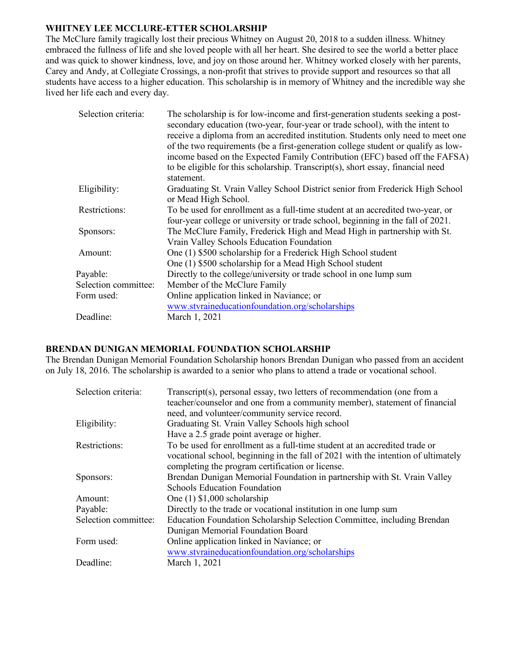## **WHITNEY LEE MCCLURE-ETTER SCHOLARSHIP**

The McClure family tragically lost their precious Whitney on August 20, 2018 to a sudden illness. Whitney embraced the fullness of life and she loved people with all her heart. She desired to see the world a better place and was quick to shower kindness, love, and joy on those around her. Whitney worked closely with her parents, Carey and Andy, at Collegiate Crossings, a non-profit that strives to provide support and resources so that all students have access to a higher education. This scholarship is in memory of Whitney and the incredible way she lived her life each and every day.

| Selection criteria:  | The scholarship is for low-income and first-generation students seeking a post-<br>secondary education (two-year, four-year or trade school), with the intent to<br>receive a diploma from an accredited institution. Students only need to meet one<br>of the two requirements (be a first-generation college student or qualify as low-<br>income based on the Expected Family Contribution (EFC) based off the FAFSA)<br>to be eligible for this scholarship. Transcript(s), short essay, financial need<br>statement. |
|----------------------|---------------------------------------------------------------------------------------------------------------------------------------------------------------------------------------------------------------------------------------------------------------------------------------------------------------------------------------------------------------------------------------------------------------------------------------------------------------------------------------------------------------------------|
| Eligibility:         | Graduating St. Vrain Valley School District senior from Frederick High School<br>or Mead High School.                                                                                                                                                                                                                                                                                                                                                                                                                     |
| Restrictions:        | To be used for enrollment as a full-time student at an accredited two-year, or<br>four-year college or university or trade school, beginning in the fall of 2021.                                                                                                                                                                                                                                                                                                                                                         |
| Sponsors:            | The McClure Family, Frederick High and Mead High in partnership with St.<br>Vrain Valley Schools Education Foundation                                                                                                                                                                                                                                                                                                                                                                                                     |
| Amount:              | One (1) \$500 scholarship for a Frederick High School student<br>One (1) \$500 scholarship for a Mead High School student                                                                                                                                                                                                                                                                                                                                                                                                 |
| Payable:             | Directly to the college/university or trade school in one lump sum                                                                                                                                                                                                                                                                                                                                                                                                                                                        |
| Selection committee: | Member of the McClure Family                                                                                                                                                                                                                                                                                                                                                                                                                                                                                              |
| Form used:           | Online application linked in Naviance; or                                                                                                                                                                                                                                                                                                                                                                                                                                                                                 |
|                      | www.stvraineducationfoundation.org/scholarships                                                                                                                                                                                                                                                                                                                                                                                                                                                                           |
| Deadline:            | March 1, 2021                                                                                                                                                                                                                                                                                                                                                                                                                                                                                                             |

## **BRENDAN DUNIGAN MEMORIAL FOUNDATION SCHOLARSHIP**

The Brendan Dunigan Memorial Foundation Scholarship honors Brendan Dunigan who passed from an accident on July 18, 2016. The scholarship is awarded to a senior who plans to attend a trade or vocational school.

| Selection criteria:  | Transcript(s), personal essay, two letters of recommendation (one from a          |
|----------------------|-----------------------------------------------------------------------------------|
|                      | teacher/counselor and one from a community member), statement of financial        |
|                      | need, and volunteer/community service record.                                     |
| Eligibility:         | Graduating St. Vrain Valley Schools high school                                   |
|                      | Have a 2.5 grade point average or higher.                                         |
| Restrictions:        | To be used for enrollment as a full-time student at an accredited trade or        |
|                      | vocational school, beginning in the fall of 2021 with the intention of ultimately |
|                      | completing the program certification or license.                                  |
| Sponsors:            | Brendan Dunigan Memorial Foundation in partnership with St. Vrain Valley          |
|                      | <b>Schools Education Foundation</b>                                               |
| Amount:              | One $(1)$ \$1,000 scholarship                                                     |
| Payable:             | Directly to the trade or vocational institution in one lump sum                   |
| Selection committee: | Education Foundation Scholarship Selection Committee, including Brendan           |
|                      | Dunigan Memorial Foundation Board                                                 |
| Form used:           | Online application linked in Naviance; or                                         |
|                      | www.stvraineducationfoundation.org/scholarships                                   |
| Deadline:            | March 1, 2021                                                                     |
|                      |                                                                                   |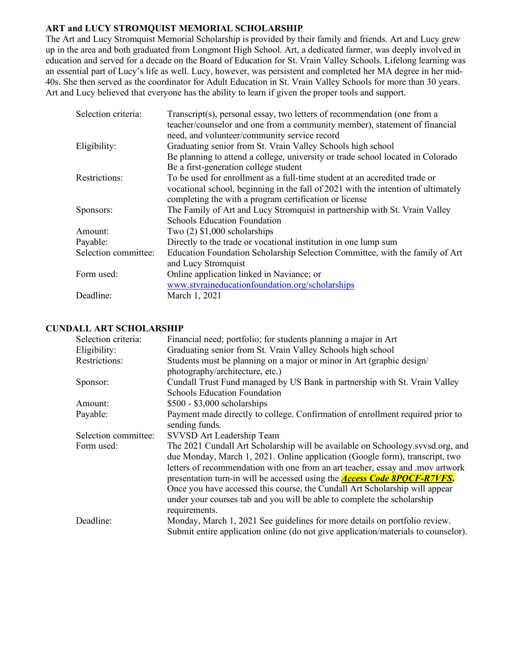## **ART and LUCY STROMQUIST MEMORIAL SCHOLARSHIP**

The Art and Lucy Stromquist Memorial Scholarship is provided by their family and friends. Art and Lucy grew up in the area and both graduated from Longmont High School. Art, a dedicated farmer, was deeply involved in education and served for a decade on the Board of Education for St. Vrain Valley Schools. Lifelong learning was an essential part of Lucy's life as well. Lucy, however, was persistent and completed her MA degree in her mid-40s. She then served as the coordinator for Adult Education in St. Vrain Valley Schools for more than 30 years. Art and Lucy believed that everyone has the ability to learn if given the proper tools and support.

| Selection criteria:  | Transcript(s), personal essay, two letters of recommendation (one from a<br>teacher/counselor and one from a community member), statement of financial<br>need, and volunteer/community service record |
|----------------------|--------------------------------------------------------------------------------------------------------------------------------------------------------------------------------------------------------|
| Eligibility:         | Graduating senior from St. Vrain Valley Schools high school                                                                                                                                            |
|                      | Be planning to attend a college, university or trade school located in Colorado                                                                                                                        |
|                      | Be a first-generation college student                                                                                                                                                                  |
| Restrictions:        | To be used for enrollment as a full-time student at an accredited trade or                                                                                                                             |
|                      | vocational school, beginning in the fall of 2021 with the intention of ultimately                                                                                                                      |
|                      | completing the with a program certification or license                                                                                                                                                 |
| Sponsors:            | The Family of Art and Lucy Stromquist in partnership with St. Vrain Valley                                                                                                                             |
|                      | <b>Schools Education Foundation</b>                                                                                                                                                                    |
| Amount:              | Two $(2)$ \$1,000 scholarships                                                                                                                                                                         |
| Payable:             | Directly to the trade or vocational institution in one lump sum                                                                                                                                        |
| Selection committee: | Education Foundation Scholarship Selection Committee, with the family of Art                                                                                                                           |
|                      | and Lucy Stromquist                                                                                                                                                                                    |
| Form used:           | Online application linked in Naviance; or                                                                                                                                                              |
|                      | www.stvraineducationfoundation.org/scholarships                                                                                                                                                        |
| Deadline:            | March 1, 2021                                                                                                                                                                                          |

### **CUNDALL ART SCHOLARSHIP**

| Selection criteria:  | Financial need; portfolio; for students planning a major in Art                    |
|----------------------|------------------------------------------------------------------------------------|
| Eligibility:         | Graduating senior from St. Vrain Valley Schools high school                        |
| Restrictions:        | Students must be planning on a major or minor in Art (graphic design/              |
|                      | photography/architecture, etc.)                                                    |
| Sponsor:             | Cundall Trust Fund managed by US Bank in partnership with St. Vrain Valley         |
|                      | <b>Schools Education Foundation</b>                                                |
| Amount:              | $$500 - $3,000$ scholarships                                                       |
| Payable:             | Payment made directly to college. Confirmation of enrollment required prior to     |
|                      | sending funds.                                                                     |
| Selection committee: | SVVSD Art Leadership Team                                                          |
| Form used:           | The 2021 Cundall Art Scholarship will be available on Schoology.svvsd.org, and     |
|                      | due Monday, March 1, 2021. Online application (Google form), transcript, two       |
|                      | letters of recommendation with one from an art teacher, essay and .mov artwork     |
|                      | presentation turn-in will be accessed using the <b>Access Code 8POCF-R7VFS</b> .   |
|                      | Once you have accessed this course, the Cundall Art Scholarship will appear        |
|                      | under your courses tab and you will be able to complete the scholarship            |
|                      | requirements.                                                                      |
| Deadline:            | Monday, March 1, 2021 See guidelines for more details on portfolio review.         |
|                      | Submit entire application online (do not give application/materials to counselor). |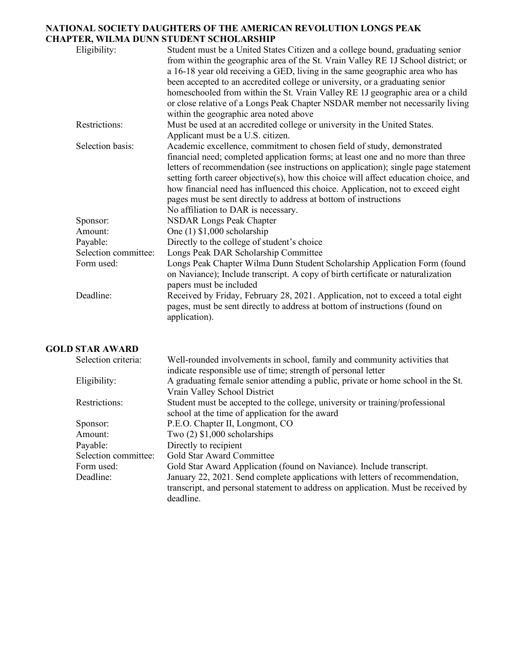## **NATIONAL SOCIETY DAUGHTERS OF THE AMERICAN REVOLUTION LONGS PEAK CHAPTER, WILMA DUNN STUDENT SCHOLARSHIP**

| Eligibility:         | Student must be a United States Citizen and a college bound, graduating senior<br>from within the geographic area of the St. Vrain Valley RE 1J School district; or<br>a 16-18 year old receiving a GED, living in the same geographic area who has<br>been accepted to an accredited college or university, or a graduating senior<br>homeschooled from within the St. Vrain Valley RE 1J geographic area or a child<br>or close relative of a Longs Peak Chapter NSDAR member not necessarily living<br>within the geographic area noted above |
|----------------------|--------------------------------------------------------------------------------------------------------------------------------------------------------------------------------------------------------------------------------------------------------------------------------------------------------------------------------------------------------------------------------------------------------------------------------------------------------------------------------------------------------------------------------------------------|
| Restrictions:        | Must be used at an accredited college or university in the United States.<br>Applicant must be a U.S. citizen.                                                                                                                                                                                                                                                                                                                                                                                                                                   |
| Selection basis:     | Academic excellence, commitment to chosen field of study, demonstrated<br>financial need; completed application forms; at least one and no more than three<br>letters of recommendation (see instructions on application); single page statement<br>setting forth career objective(s), how this choice will affect education choice, and<br>how financial need has influenced this choice. Application, not to exceed eight<br>pages must be sent directly to address at bottom of instructions<br>No affiliation to DAR is necessary.           |
| Sponsor:             | <b>NSDAR Longs Peak Chapter</b>                                                                                                                                                                                                                                                                                                                                                                                                                                                                                                                  |
| Amount:              | One $(1)$ \$1,000 scholarship                                                                                                                                                                                                                                                                                                                                                                                                                                                                                                                    |
| Payable:             | Directly to the college of student's choice                                                                                                                                                                                                                                                                                                                                                                                                                                                                                                      |
| Selection committee: | Longs Peak DAR Scholarship Committee                                                                                                                                                                                                                                                                                                                                                                                                                                                                                                             |
| Form used:           | Longs Peak Chapter Wilma Dunn Student Scholarship Application Form (found<br>on Naviance); Include transcript. A copy of birth certificate or naturalization<br>papers must be included                                                                                                                                                                                                                                                                                                                                                          |
| Deadline:            | Received by Friday, February 28, 2021. Application, not to exceed a total eight<br>pages, must be sent directly to address at bottom of instructions (found on<br>application).                                                                                                                                                                                                                                                                                                                                                                  |

## **GOLD STAR AWARD**

| Well-rounded involvements in school, family and community activities that         |
|-----------------------------------------------------------------------------------|
| indicate responsible use of time; strength of personal letter                     |
| A graduating female senior attending a public, private or home school in the St.  |
| Vrain Valley School District                                                      |
| Student must be accepted to the college, university or training/professional      |
| school at the time of application for the award                                   |
| P.E.O. Chapter II, Longmont, CO                                                   |
| Two $(2)$ \$1,000 scholarships                                                    |
| Directly to recipient                                                             |
| Gold Star Award Committee                                                         |
| Gold Star Award Application (found on Naviance). Include transcript.              |
| January 22, 2021. Send complete applications with letters of recommendation,      |
| transcript, and personal statement to address on application. Must be received by |
| deadline.                                                                         |
|                                                                                   |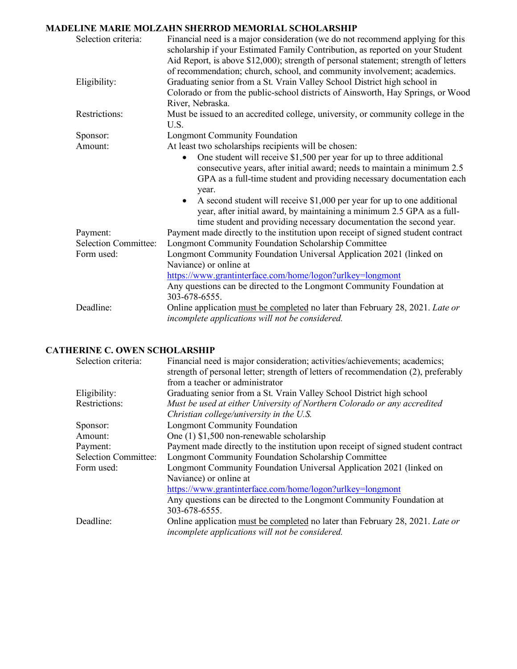## **MADELINE MARIE MOLZAHN SHERROD MEMORIAL SCHOLARSHIP**

| Selection criteria:         | Financial need is a major consideration (we do not recommend applying for this<br>scholarship if your Estimated Family Contribution, as reported on your Student<br>Aid Report, is above \$12,000); strength of personal statement; strength of letters<br>of recommendation; church, school, and community involvement; academics.                                                                                                                            |
|-----------------------------|----------------------------------------------------------------------------------------------------------------------------------------------------------------------------------------------------------------------------------------------------------------------------------------------------------------------------------------------------------------------------------------------------------------------------------------------------------------|
| Eligibility:                | Graduating senior from a St. Vrain Valley School District high school in<br>Colorado or from the public-school districts of Ainsworth, Hay Springs, or Wood<br>River, Nebraska.                                                                                                                                                                                                                                                                                |
| Restrictions:               | Must be issued to an accredited college, university, or community college in the<br>U.S.                                                                                                                                                                                                                                                                                                                                                                       |
| Sponsor:                    | <b>Longmont Community Foundation</b>                                                                                                                                                                                                                                                                                                                                                                                                                           |
| Amount:                     | At least two scholarships recipients will be chosen:                                                                                                                                                                                                                                                                                                                                                                                                           |
|                             | One student will receive $$1,500$ per year for up to three additional<br>consecutive years, after initial award; needs to maintain a minimum 2.5<br>GPA as a full-time student and providing necessary documentation each<br>year.<br>A second student will receive \$1,000 per year for up to one additional<br>year, after initial award, by maintaining a minimum 2.5 GPA as a full-<br>time student and providing necessary documentation the second year. |
| Payment:                    | Payment made directly to the institution upon receipt of signed student contract                                                                                                                                                                                                                                                                                                                                                                               |
| <b>Selection Committee:</b> | <b>Longmont Community Foundation Scholarship Committee</b>                                                                                                                                                                                                                                                                                                                                                                                                     |
| Form used:                  | Longmont Community Foundation Universal Application 2021 (linked on<br>Naviance) or online at                                                                                                                                                                                                                                                                                                                                                                  |
|                             | https://www.grantinterface.com/home/logon?urlkey=longmont<br>Any questions can be directed to the Longmont Community Foundation at<br>303-678-6555.                                                                                                                                                                                                                                                                                                            |
| Deadline:                   | Online application must be completed no later than February 28, 2021. Late or<br>incomplete applications will not be considered.                                                                                                                                                                                                                                                                                                                               |

# **CATHERINE C. OWEN SCHOLARSHIP**

| Selection criteria:         | Financial need is major consideration; activities/achievements; academics;<br>strength of personal letter; strength of letters of recommendation (2), preferably<br>from a teacher or administrator |
|-----------------------------|-----------------------------------------------------------------------------------------------------------------------------------------------------------------------------------------------------|
| Eligibility:                | Graduating senior from a St. Vrain Valley School District high school                                                                                                                               |
| Restrictions:               | Must be used at either University of Northern Colorado or any accredited                                                                                                                            |
|                             | Christian college/university in the U.S.                                                                                                                                                            |
| Sponsor:                    | <b>Longmont Community Foundation</b>                                                                                                                                                                |
| Amount:                     | One $(1)$ \$1,500 non-renewable scholarship                                                                                                                                                         |
| Payment:                    | Payment made directly to the institution upon receipt of signed student contract                                                                                                                    |
| <b>Selection Committee:</b> | Longmont Community Foundation Scholarship Committee                                                                                                                                                 |
| Form used:                  | Longmont Community Foundation Universal Application 2021 (linked on                                                                                                                                 |
|                             | Naviance) or online at                                                                                                                                                                              |
|                             | https://www.grantinterface.com/home/logon?urlkey=longmont                                                                                                                                           |
|                             | Any questions can be directed to the Longmont Community Foundation at                                                                                                                               |
|                             | 303-678-6555.                                                                                                                                                                                       |
| Deadline:                   | Online application must be completed no later than February 28, 2021. Late or                                                                                                                       |
|                             | incomplete applications will not be considered.                                                                                                                                                     |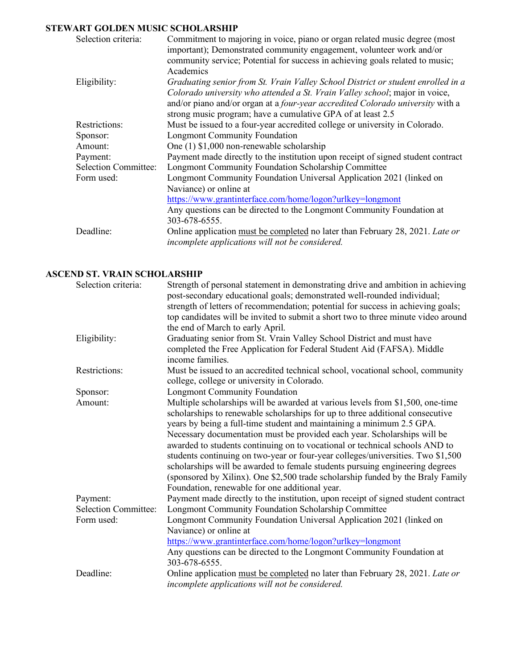## **STEWART GOLDEN MUSIC SCHOLARSHIP**

| Selection criteria:         | Commitment to majoring in voice, piano or organ related music degree (most<br>important); Demonstrated community engagement, volunteer work and/or<br>community service; Potential for success in achieving goals related to music;<br>Academics                                                                 |
|-----------------------------|------------------------------------------------------------------------------------------------------------------------------------------------------------------------------------------------------------------------------------------------------------------------------------------------------------------|
| Eligibility:                | Graduating senior from St. Vrain Valley School District or student enrolled in a<br>Colorado university who attended a St. Vrain Valley school; major in voice,<br>and/or piano and/or organ at a four-year accredited Colorado university with a<br>strong music program; have a cumulative GPA of at least 2.5 |
| Restrictions:               | Must be issued to a four-year accredited college or university in Colorado.                                                                                                                                                                                                                                      |
| Sponsor:                    | <b>Longmont Community Foundation</b>                                                                                                                                                                                                                                                                             |
| Amount:                     | One $(1)$ \$1,000 non-renewable scholarship                                                                                                                                                                                                                                                                      |
| Payment:                    | Payment made directly to the institution upon receipt of signed student contract                                                                                                                                                                                                                                 |
| <b>Selection Committee:</b> | Longmont Community Foundation Scholarship Committee                                                                                                                                                                                                                                                              |
| Form used:                  | Longmont Community Foundation Universal Application 2021 (linked on<br>Naviance) or online at                                                                                                                                                                                                                    |
|                             | https://www.grantinterface.com/home/logon?urlkey=longmont                                                                                                                                                                                                                                                        |
|                             | Any questions can be directed to the Longmont Community Foundation at                                                                                                                                                                                                                                            |
|                             | 303-678-6555.                                                                                                                                                                                                                                                                                                    |
| Deadline:                   | Online application must be completed no later than February 28, 2021. Late or<br>incomplete applications will not be considered.                                                                                                                                                                                 |

## **ASCEND ST. VRAIN SCHOLARSHIP**

| Selection criteria:         | Strength of personal statement in demonstrating drive and ambition in achieving<br>post-secondary educational goals; demonstrated well-rounded individual;<br>strength of letters of recommendation; potential for success in achieving goals;<br>top candidates will be invited to submit a short two to three minute video around<br>the end of March to early April.                                                                                                                                                                                                                                                                                                                                     |
|-----------------------------|-------------------------------------------------------------------------------------------------------------------------------------------------------------------------------------------------------------------------------------------------------------------------------------------------------------------------------------------------------------------------------------------------------------------------------------------------------------------------------------------------------------------------------------------------------------------------------------------------------------------------------------------------------------------------------------------------------------|
| Eligibility:                | Graduating senior from St. Vrain Valley School District and must have<br>completed the Free Application for Federal Student Aid (FAFSA). Middle<br>income families.                                                                                                                                                                                                                                                                                                                                                                                                                                                                                                                                         |
| Restrictions:               | Must be issued to an accredited technical school, vocational school, community<br>college, college or university in Colorado.                                                                                                                                                                                                                                                                                                                                                                                                                                                                                                                                                                               |
| Sponsor:                    | <b>Longmont Community Foundation</b>                                                                                                                                                                                                                                                                                                                                                                                                                                                                                                                                                                                                                                                                        |
| Amount:                     | Multiple scholarships will be awarded at various levels from \$1,500, one-time<br>scholarships to renewable scholarships for up to three additional consecutive<br>years by being a full-time student and maintaining a minimum 2.5 GPA.<br>Necessary documentation must be provided each year. Scholarships will be<br>awarded to students continuing on to vocational or technical schools AND to<br>students continuing on two-year or four-year colleges/universities. Two \$1,500<br>scholarships will be awarded to female students pursuing engineering degrees<br>(sponsored by Xilinx). One \$2,500 trade scholarship funded by the Braly Family<br>Foundation, renewable for one additional year. |
| Payment:                    | Payment made directly to the institution, upon receipt of signed student contract                                                                                                                                                                                                                                                                                                                                                                                                                                                                                                                                                                                                                           |
| <b>Selection Committee:</b> | Longmont Community Foundation Scholarship Committee                                                                                                                                                                                                                                                                                                                                                                                                                                                                                                                                                                                                                                                         |
| Form used:                  | Longmont Community Foundation Universal Application 2021 (linked on<br>Naviance) or online at<br>https://www.grantinterface.com/home/logon?urlkey=longmont<br>Any questions can be directed to the Longmont Community Foundation at                                                                                                                                                                                                                                                                                                                                                                                                                                                                         |
| Deadline:                   | 303-678-6555.<br>Online application must be completed no later than February 28, 2021. Late or<br>incomplete applications will not be considered.                                                                                                                                                                                                                                                                                                                                                                                                                                                                                                                                                           |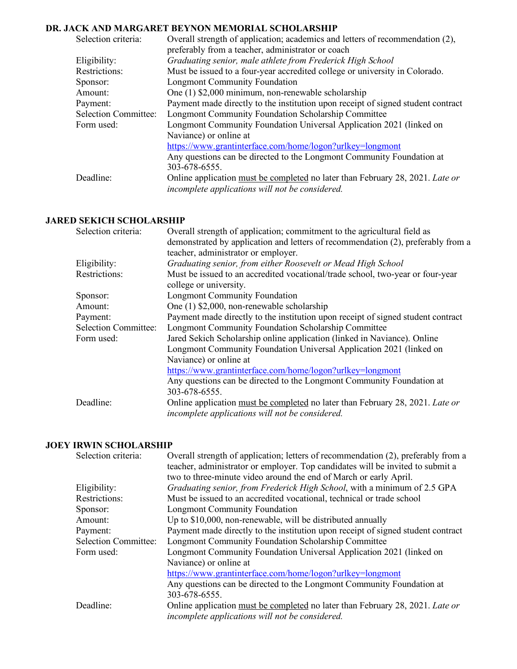## **DR. JACK AND MARGARET BEYNON MEMORIAL SCHOLARSHIP**

| Selection criteria:         | Overall strength of application; academics and letters of recommendation (2),<br>preferably from a teacher, administrator or coach |
|-----------------------------|------------------------------------------------------------------------------------------------------------------------------------|
| Eligibility:                | Graduating senior, male athlete from Frederick High School                                                                         |
| Restrictions:               | Must be issued to a four-year accredited college or university in Colorado.                                                        |
| Sponsor:                    | <b>Longmont Community Foundation</b>                                                                                               |
| Amount:                     | One (1) \$2,000 minimum, non-renewable scholarship                                                                                 |
| Payment:                    | Payment made directly to the institution upon receipt of signed student contract                                                   |
| <b>Selection Committee:</b> | Longmont Community Foundation Scholarship Committee                                                                                |
| Form used:                  | Longmont Community Foundation Universal Application 2021 (linked on                                                                |
|                             | Naviance) or online at                                                                                                             |
|                             | https://www.grantinterface.com/home/logon?urlkey=longmont                                                                          |
|                             | Any questions can be directed to the Longmont Community Foundation at                                                              |
|                             | 303-678-6555.                                                                                                                      |
| Deadline:                   | Online application must be completed no later than February 28, 2021. Late or<br>incomplete applications will not be considered.   |

## **JARED SEKICH SCHOLARSHIP**

| Selection criteria:         | Overall strength of application; commitment to the agricultural field as         |
|-----------------------------|----------------------------------------------------------------------------------|
|                             | demonstrated by application and letters of recommendation (2), preferably from a |
|                             | teacher, administrator or employer.                                              |
| Eligibility:                | Graduating senior, from either Roosevelt or Mead High School                     |
| Restrictions:               | Must be issued to an accredited vocational/trade school, two-year or four-year   |
|                             | college or university.                                                           |
| Sponsor:                    | <b>Longmont Community Foundation</b>                                             |
| Amount:                     | One (1) \$2,000, non-renewable scholarship                                       |
| Payment:                    | Payment made directly to the institution upon receipt of signed student contract |
| <b>Selection Committee:</b> | Longmont Community Foundation Scholarship Committee                              |
| Form used:                  | Jared Sekich Scholarship online application (linked in Naviance). Online         |
|                             | Longmont Community Foundation Universal Application 2021 (linked on              |
|                             | Naviance) or online at                                                           |
|                             | https://www.grantinterface.com/home/logon?urlkey=longmont                        |
|                             | Any questions can be directed to the Longmont Community Foundation at            |
|                             | 303-678-6555.                                                                    |
| Deadline:                   | Online application must be completed no later than February 28, 2021. Late or    |
|                             | incomplete applications will not be considered.                                  |

#### **JOEY IRWIN SCHOLARSHIP**

| Overall strength of application; letters of recommendation (2), preferably from a<br>teacher, administrator or employer. Top candidates will be invited to submit a |
|---------------------------------------------------------------------------------------------------------------------------------------------------------------------|
| two to three-minute video around the end of March or early April.                                                                                                   |
| Graduating senior, from Frederick High School, with a minimum of 2.5 GPA                                                                                            |
| Must be issued to an accredited vocational, technical or trade school                                                                                               |
| <b>Longmont Community Foundation</b>                                                                                                                                |
| Up to \$10,000, non-renewable, will be distributed annually                                                                                                         |
| Payment made directly to the institution upon receipt of signed student contract                                                                                    |
| <b>Longmont Community Foundation Scholarship Committee</b>                                                                                                          |
| Longmont Community Foundation Universal Application 2021 (linked on                                                                                                 |
| Naviance) or online at                                                                                                                                              |
| https://www.grantinterface.com/home/logon?urlkey=longmont                                                                                                           |
| Any questions can be directed to the Longmont Community Foundation at                                                                                               |
| 303-678-6555.                                                                                                                                                       |
| Online application must be completed no later than February 28, 2021. Late or<br>incomplete applications will not be considered.                                    |
|                                                                                                                                                                     |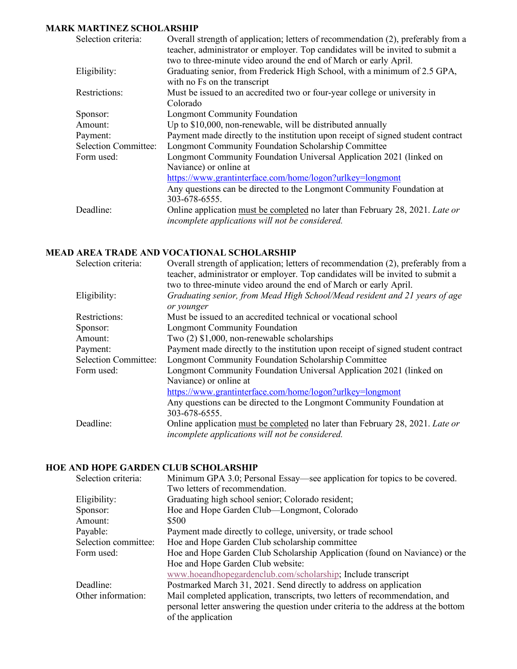## **MARK MARTINEZ SCHOLARSHIP**

| Selection criteria:         | Overall strength of application; letters of recommendation (2), preferably from a<br>teacher, administrator or employer. Top candidates will be invited to submit a<br>two to three-minute video around the end of March or early April. |
|-----------------------------|------------------------------------------------------------------------------------------------------------------------------------------------------------------------------------------------------------------------------------------|
| Eligibility:                | Graduating senior, from Frederick High School, with a minimum of 2.5 GPA,<br>with no Fs on the transcript                                                                                                                                |
| Restrictions:               | Must be issued to an accredited two or four-year college or university in<br>Colorado                                                                                                                                                    |
| Sponsor:                    | <b>Longmont Community Foundation</b>                                                                                                                                                                                                     |
| Amount:                     | Up to \$10,000, non-renewable, will be distributed annually                                                                                                                                                                              |
| Payment:                    | Payment made directly to the institution upon receipt of signed student contract                                                                                                                                                         |
| <b>Selection Committee:</b> | Longmont Community Foundation Scholarship Committee                                                                                                                                                                                      |
| Form used:                  | Longmont Community Foundation Universal Application 2021 (linked on                                                                                                                                                                      |
|                             | Naviance) or online at                                                                                                                                                                                                                   |
|                             | https://www.grantinterface.com/home/logon?urlkey=longmont                                                                                                                                                                                |
|                             | Any questions can be directed to the Longmont Community Foundation at                                                                                                                                                                    |
|                             | 303-678-6555.                                                                                                                                                                                                                            |
| Deadline:                   | Online application must be completed no later than February 28, 2021. Late or<br>incomplete applications will not be considered.                                                                                                         |

### **MEAD AREA TRADE AND VOCATIONAL SCHOLARSHIP**

| Selection criteria:  | Overall strength of application; letters of recommendation (2), preferably from a<br>teacher, administrator or employer. Top candidates will be invited to submit a<br>two to three-minute video around the end of March or early April. |
|----------------------|------------------------------------------------------------------------------------------------------------------------------------------------------------------------------------------------------------------------------------------|
|                      |                                                                                                                                                                                                                                          |
| Eligibility:         | Graduating senior, from Mead High School/Mead resident and 21 years of age<br>or younger                                                                                                                                                 |
| Restrictions:        | Must be issued to an accredited technical or vocational school                                                                                                                                                                           |
| Sponsor:             | <b>Longmont Community Foundation</b>                                                                                                                                                                                                     |
| Amount:              | Two $(2)$ \$1,000, non-renewable scholarships                                                                                                                                                                                            |
| Payment:             | Payment made directly to the institution upon receipt of signed student contract                                                                                                                                                         |
| Selection Committee: | <b>Longmont Community Foundation Scholarship Committee</b>                                                                                                                                                                               |
| Form used:           | Longmont Community Foundation Universal Application 2021 (linked on                                                                                                                                                                      |
|                      | Naviance) or online at                                                                                                                                                                                                                   |
|                      | https://www.grantinterface.com/home/logon?urlkey=longmont                                                                                                                                                                                |
|                      | Any questions can be directed to the Longmont Community Foundation at                                                                                                                                                                    |
|                      | 303-678-6555.                                                                                                                                                                                                                            |
| Deadline:            | Online application must be completed no later than February 28, 2021. Late or<br>incomplete applications will not be considered.                                                                                                         |

## **HOE AND HOPE GARDEN CLUB SCHOLARSHIP**

| Selection criteria:  | Minimum GPA 3.0; Personal Essay—see application for topics to be covered.          |
|----------------------|------------------------------------------------------------------------------------|
|                      | Two letters of recommendation.                                                     |
| Eligibility:         | Graduating high school senior; Colorado resident;                                  |
| Sponsor:             | Hoe and Hope Garden Club—Longmont, Colorado                                        |
| Amount:              | \$500                                                                              |
| Payable:             | Payment made directly to college, university, or trade school                      |
| Selection committee: | Hoe and Hope Garden Club scholarship committee                                     |
| Form used:           | Hoe and Hope Garden Club Scholarship Application (found on Naviance) or the        |
|                      | Hoe and Hope Garden Club website:                                                  |
|                      | www.hoeandhopegardenclub.com/scholarship; Include transcript                       |
| Deadline:            | Postmarked March 31, 2021. Send directly to address on application                 |
| Other information:   | Mail completed application, transcripts, two letters of recommendation, and        |
|                      | personal letter answering the question under criteria to the address at the bottom |
|                      | of the application                                                                 |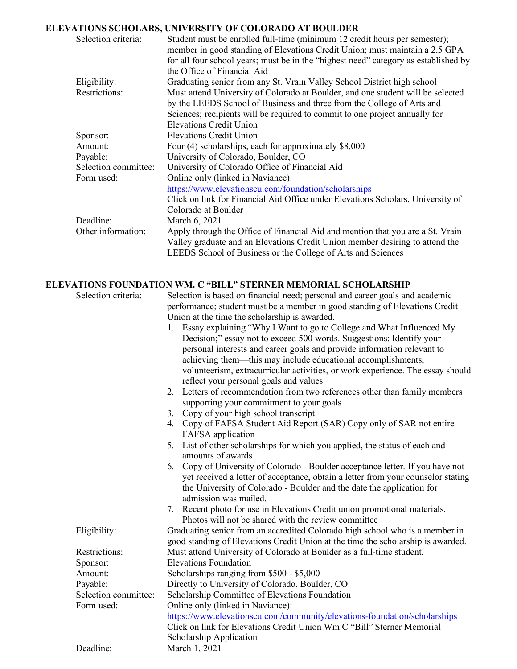## **ELEVATIONS SCHOLARS, UNIVERSITY OF COLORADO AT BOULDER**

| Selection criteria:           | Student must be enrolled full-time (minimum 12 credit hours per semester);<br>member in good standing of Elevations Credit Union; must maintain a 2.5 GPA<br>for all four school years; must be in the "highest need" category as established by |
|-------------------------------|--------------------------------------------------------------------------------------------------------------------------------------------------------------------------------------------------------------------------------------------------|
|                               | the Office of Financial Aid                                                                                                                                                                                                                      |
| Eligibility:<br>Restrictions: | Graduating senior from any St. Vrain Valley School District high school<br>Must attend University of Colorado at Boulder, and one student will be selected<br>by the LEEDS School of Business and three from the College of Arts and             |
|                               | Sciences; recipients will be required to commit to one project annually for<br><b>Elevations Credit Union</b>                                                                                                                                    |
| Sponsor:                      | <b>Elevations Credit Union</b>                                                                                                                                                                                                                   |
| Amount:                       | Four (4) scholarships, each for approximately \$8,000                                                                                                                                                                                            |
| Payable:                      | University of Colorado, Boulder, CO                                                                                                                                                                                                              |
| Selection committee:          | University of Colorado Office of Financial Aid                                                                                                                                                                                                   |
| Form used:                    | Online only (linked in Naviance):                                                                                                                                                                                                                |
|                               | https://www.elevationscu.com/foundation/scholarships                                                                                                                                                                                             |
|                               | Click on link for Financial Aid Office under Elevations Scholars, University of                                                                                                                                                                  |
|                               | Colorado at Boulder                                                                                                                                                                                                                              |
| Deadline:                     | March 6, 2021                                                                                                                                                                                                                                    |
| Other information:            | Apply through the Office of Financial Aid and mention that you are a St. Vrain<br>Valley graduate and an Elevations Credit Union member desiring to attend the<br>LEEDS School of Business or the College of Arts and Sciences                   |

#### **ELEVATIONS FOUNDATION WM. C "BILL" STERNER MEMORIAL SCHOLARSHIP**

| етаново господнов мм. С | - DILLE-STEINALIN MEMOIALE SCHOLAINSI                                             |
|-------------------------|-----------------------------------------------------------------------------------|
| Selection criteria:     | Selection is based on financial need; personal and career goals and academic      |
|                         | performance; student must be a member in good standing of Elevations Credit       |
|                         | Union at the time the scholarship is awarded.                                     |
|                         | Essay explaining "Why I Want to go to College and What Influenced My<br>$1_{-}$   |
|                         | Decision;" essay not to exceed 500 words. Suggestions: Identify your              |
|                         | personal interests and career goals and provide information relevant to           |
|                         | achieving them—this may include educational accomplishments,                      |
|                         | volunteerism, extracurricular activities, or work experience. The essay should    |
|                         | reflect your personal goals and values                                            |
|                         | Letters of recommendation from two references other than family members<br>2.     |
|                         | supporting your commitment to your goals                                          |
|                         | Copy of your high school transcript<br>3 <sub>1</sub>                             |
|                         | 4. Copy of FAFSA Student Aid Report (SAR) Copy only of SAR not entire             |
|                         | FAFSA application                                                                 |
|                         | 5. List of other scholarships for which you applied, the status of each and       |
|                         | amounts of awards                                                                 |
|                         | Copy of University of Colorado - Boulder acceptance letter. If you have not<br>6. |
|                         | yet received a letter of acceptance, obtain a letter from your counselor stating  |
|                         | the University of Colorado - Boulder and the date the application for             |
|                         | admission was mailed.                                                             |
|                         | 7. Recent photo for use in Elevations Credit union promotional materials.         |
|                         | Photos will not be shared with the review committee                               |
| Eligibility:            | Graduating senior from an accredited Colorado high school who is a member in      |
|                         | good standing of Elevations Credit Union at the time the scholarship is awarded.  |
| Restrictions:           | Must attend University of Colorado at Boulder as a full-time student.             |
| Sponsor:                | <b>Elevations Foundation</b>                                                      |
| Amount:                 | Scholarships ranging from \$500 - \$5,000                                         |
| Payable:                | Directly to University of Colorado, Boulder, CO                                   |
| Selection committee:    | Scholarship Committee of Elevations Foundation                                    |
| Form used:              | Online only (linked in Naviance):                                                 |
|                         | https://www.elevationscu.com/community/elevations-foundation/scholarships         |
|                         | Click on link for Elevations Credit Union Wm C "Bill" Sterner Memorial            |
|                         | Scholarship Application                                                           |
| Deadline:               | March 1, 2021                                                                     |
|                         |                                                                                   |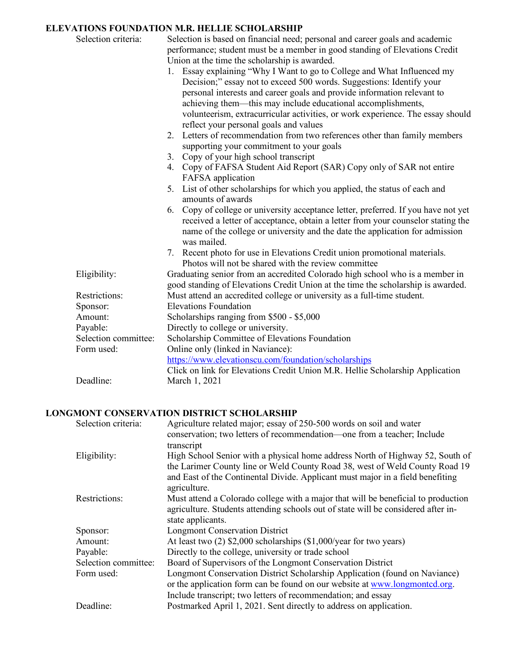## **ELEVATIONS FOUNDATION M.R. HELLIE SCHOLARSHIP**

| Selection criteria:  | Selection is based on financial need; personal and career goals and academic<br>performance; student must be a member in good standing of Elevations Credit<br>Union at the time the scholarship is awarded.<br>1. Essay explaining "Why I Want to go to College and What Influenced my<br>Decision;" essay not to exceed 500 words. Suggestions: Identify your<br>personal interests and career goals and provide information relevant to<br>achieving them—this may include educational accomplishments,<br>volunteerism, extracurricular activities, or work experience. The essay should<br>reflect your personal goals and values<br>2. Letters of recommendation from two references other than family members<br>supporting your commitment to your goals<br>3. Copy of your high school transcript<br>4. Copy of FAFSA Student Aid Report (SAR) Copy only of SAR not entire<br>FAFSA application<br>List of other scholarships for which you applied, the status of each and<br>5.<br>amounts of awards<br>Copy of college or university acceptance letter, preferred. If you have not yet<br>6.<br>received a letter of acceptance, obtain a letter from your counselor stating the<br>name of the college or university and the date the application for admission<br>was mailed.<br>7. Recent photo for use in Elevations Credit union promotional materials. |
|----------------------|--------------------------------------------------------------------------------------------------------------------------------------------------------------------------------------------------------------------------------------------------------------------------------------------------------------------------------------------------------------------------------------------------------------------------------------------------------------------------------------------------------------------------------------------------------------------------------------------------------------------------------------------------------------------------------------------------------------------------------------------------------------------------------------------------------------------------------------------------------------------------------------------------------------------------------------------------------------------------------------------------------------------------------------------------------------------------------------------------------------------------------------------------------------------------------------------------------------------------------------------------------------------------------------------------------------------------------------------------------------------------|
| Eligibility:         | Photos will not be shared with the review committee<br>Graduating senior from an accredited Colorado high school who is a member in<br>good standing of Elevations Credit Union at the time the scholarship is awarded.                                                                                                                                                                                                                                                                                                                                                                                                                                                                                                                                                                                                                                                                                                                                                                                                                                                                                                                                                                                                                                                                                                                                                  |
| Restrictions:        | Must attend an accredited college or university as a full-time student.                                                                                                                                                                                                                                                                                                                                                                                                                                                                                                                                                                                                                                                                                                                                                                                                                                                                                                                                                                                                                                                                                                                                                                                                                                                                                                  |
| Sponsor:             | <b>Elevations Foundation</b>                                                                                                                                                                                                                                                                                                                                                                                                                                                                                                                                                                                                                                                                                                                                                                                                                                                                                                                                                                                                                                                                                                                                                                                                                                                                                                                                             |
| Amount:              | Scholarships ranging from \$500 - \$5,000                                                                                                                                                                                                                                                                                                                                                                                                                                                                                                                                                                                                                                                                                                                                                                                                                                                                                                                                                                                                                                                                                                                                                                                                                                                                                                                                |
| Payable:             | Directly to college or university.                                                                                                                                                                                                                                                                                                                                                                                                                                                                                                                                                                                                                                                                                                                                                                                                                                                                                                                                                                                                                                                                                                                                                                                                                                                                                                                                       |
| Selection committee: | Scholarship Committee of Elevations Foundation                                                                                                                                                                                                                                                                                                                                                                                                                                                                                                                                                                                                                                                                                                                                                                                                                                                                                                                                                                                                                                                                                                                                                                                                                                                                                                                           |
| Form used:           | Online only (linked in Naviance):                                                                                                                                                                                                                                                                                                                                                                                                                                                                                                                                                                                                                                                                                                                                                                                                                                                                                                                                                                                                                                                                                                                                                                                                                                                                                                                                        |
|                      | https://www.elevationscu.com/foundation/scholarships                                                                                                                                                                                                                                                                                                                                                                                                                                                                                                                                                                                                                                                                                                                                                                                                                                                                                                                                                                                                                                                                                                                                                                                                                                                                                                                     |
|                      | Click on link for Elevations Credit Union M.R. Hellie Scholarship Application                                                                                                                                                                                                                                                                                                                                                                                                                                                                                                                                                                                                                                                                                                                                                                                                                                                                                                                                                                                                                                                                                                                                                                                                                                                                                            |
| Deadline:            | March 1, 2021                                                                                                                                                                                                                                                                                                                                                                                                                                                                                                                                                                                                                                                                                                                                                                                                                                                                                                                                                                                                                                                                                                                                                                                                                                                                                                                                                            |

# **LONGMONT CONSERVATION DISTRICT SCHOLARSHIP**

| Selection criteria:  | Agriculture related major; essay of 250-500 words on soil and water<br>conservation; two letters of recommendation—one from a teacher; Include                                                                                                                               |
|----------------------|------------------------------------------------------------------------------------------------------------------------------------------------------------------------------------------------------------------------------------------------------------------------------|
| Eligibility:         | transcript<br>High School Senior with a physical home address North of Highway 52, South of<br>the Larimer County line or Weld County Road 38, west of Weld County Road 19<br>and East of the Continental Divide. Applicant must major in a field benefiting<br>agriculture. |
| Restrictions:        | Must attend a Colorado college with a major that will be beneficial to production<br>agriculture. Students attending schools out of state will be considered after in-<br>state applicants.                                                                                  |
| Sponsor:             | <b>Longmont Conservation District</b>                                                                                                                                                                                                                                        |
| Amount:              | At least two $(2)$ \$2,000 scholarships $(\$1,000/\text{year}$ for two years)                                                                                                                                                                                                |
| Payable:             | Directly to the college, university or trade school                                                                                                                                                                                                                          |
| Selection committee: | Board of Supervisors of the Longmont Conservation District                                                                                                                                                                                                                   |
| Form used:           | Longmont Conservation District Scholarship Application (found on Naviance)<br>or the application form can be found on our website at www.longmonted.org.<br>Include transcript; two letters of recommendation; and essay                                                     |
| Deadline:            | Postmarked April 1, 2021. Sent directly to address on application.                                                                                                                                                                                                           |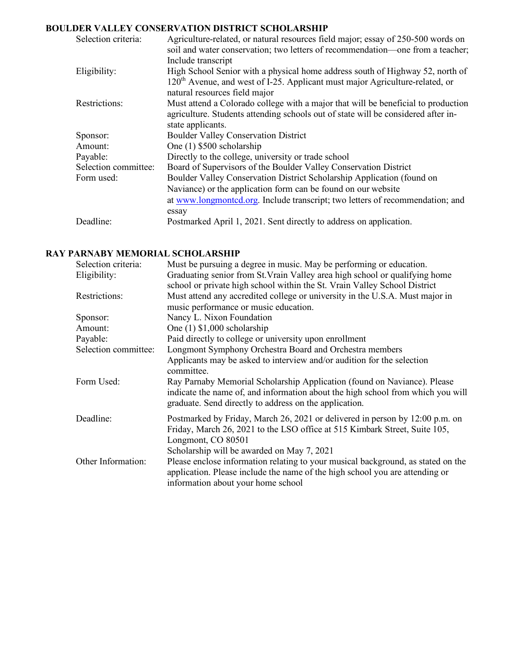# **BOULDER VALLEY CONSERVATION DISTRICT SCHOLARSHIP**

| Selection criteria:  | Agriculture-related, or natural resources field major; essay of 250-500 words on<br>soil and water conservation; two letters of recommendation—one from a teacher;<br>Include transcript                   |
|----------------------|------------------------------------------------------------------------------------------------------------------------------------------------------------------------------------------------------------|
| Eligibility:         | High School Senior with a physical home address south of Highway 52, north of<br>120 <sup>th</sup> Avenue, and west of I-25. Applicant must major Agriculture-related, or<br>natural resources field major |
| Restrictions:        | Must attend a Colorado college with a major that will be beneficial to production<br>agriculture. Students attending schools out of state will be considered after in-<br>state applicants.                |
| Sponsor:             | <b>Boulder Valley Conservation District</b>                                                                                                                                                                |
| Amount:              | One (1) \$500 scholarship                                                                                                                                                                                  |
| Payable:             | Directly to the college, university or trade school                                                                                                                                                        |
| Selection committee: | Board of Supervisors of the Boulder Valley Conservation District                                                                                                                                           |
| Form used:           | Boulder Valley Conservation District Scholarship Application (found on                                                                                                                                     |
|                      | Naviance) or the application form can be found on our website                                                                                                                                              |
|                      | at www.longmonted.org. Include transcript; two letters of recommendation; and                                                                                                                              |
|                      | essay                                                                                                                                                                                                      |
| Deadline:            | Postmarked April 1, 2021. Sent directly to address on application.                                                                                                                                         |

## **RAY PARNABY MEMORIAL SCHOLARSHIP**

| Selection criteria:  | Must be pursuing a degree in music. May be performing or education.                                                                                                                                                                                  |
|----------------------|------------------------------------------------------------------------------------------------------------------------------------------------------------------------------------------------------------------------------------------------------|
| Eligibility:         | Graduating senior from St. Vrain Valley area high school or qualifying home                                                                                                                                                                          |
|                      | school or private high school within the St. Vrain Valley School District                                                                                                                                                                            |
| Restrictions:        | Must attend any accredited college or university in the U.S.A. Must major in                                                                                                                                                                         |
|                      | music performance or music education.                                                                                                                                                                                                                |
| Sponsor:             | Nancy L. Nixon Foundation                                                                                                                                                                                                                            |
| Amount:              | One $(1)$ \$1,000 scholarship                                                                                                                                                                                                                        |
| Payable:             | Paid directly to college or university upon enrollment                                                                                                                                                                                               |
| Selection committee: | Longmont Symphony Orchestra Board and Orchestra members                                                                                                                                                                                              |
|                      | Applicants may be asked to interview and/or audition for the selection                                                                                                                                                                               |
|                      | committee.                                                                                                                                                                                                                                           |
| Form Used:           | Ray Parnaby Memorial Scholarship Application (found on Naviance). Please<br>indicate the name of, and information about the high school from which you will<br>graduate. Send directly to address on the application.                                |
| Deadline:            | Postmarked by Friday, March 26, 2021 or delivered in person by 12:00 p.m. on<br>Friday, March 26, 2021 to the LSO office at 515 Kimbark Street, Suite 105,<br>Longmont, CO 80501                                                                     |
| Other Information:   | Scholarship will be awarded on May 7, 2021<br>Please enclose information relating to your musical background, as stated on the<br>application. Please include the name of the high school you are attending or<br>information about your home school |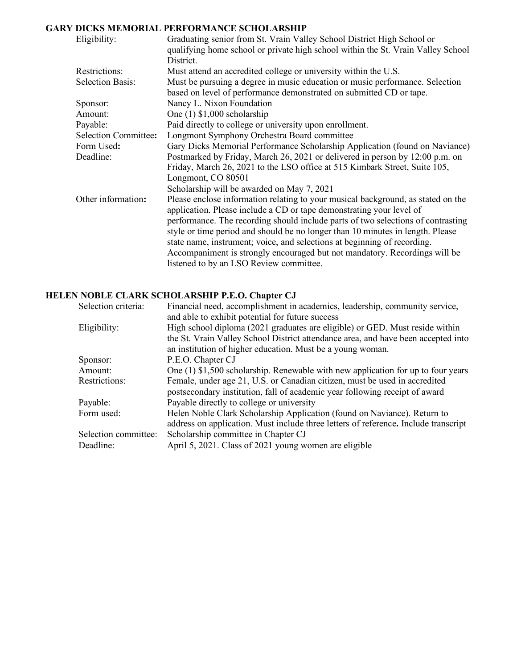# **GARY DICKS MEMORIAL PERFORMANCE SCHOLARSHIP**

| Eligibility:                | Graduating senior from St. Vrain Valley School District High School or<br>qualifying home school or private high school within the St. Vrain Valley School<br>District. |
|-----------------------------|-------------------------------------------------------------------------------------------------------------------------------------------------------------------------|
| Restrictions:               | Must attend an accredited college or university within the U.S.                                                                                                         |
| <b>Selection Basis:</b>     |                                                                                                                                                                         |
|                             | Must be pursuing a degree in music education or music performance. Selection<br>based on level of performance demonstrated on submitted CD or tape.                     |
| Sponsor:                    | Nancy L. Nixon Foundation                                                                                                                                               |
| Amount:                     | One $(1)$ \$1,000 scholarship                                                                                                                                           |
| Payable:                    | Paid directly to college or university upon enrollment.                                                                                                                 |
| <b>Selection Committee:</b> | Longmont Symphony Orchestra Board committee                                                                                                                             |
| Form Used:                  | Gary Dicks Memorial Performance Scholarship Application (found on Naviance)                                                                                             |
| Deadline:                   | Postmarked by Friday, March 26, 2021 or delivered in person by 12:00 p.m. on                                                                                            |
|                             | Friday, March 26, 2021 to the LSO office at 515 Kimbark Street, Suite 105,                                                                                              |
|                             | Longmont, CO 80501                                                                                                                                                      |
|                             | Scholarship will be awarded on May 7, 2021                                                                                                                              |
| Other information:          | Please enclose information relating to your musical background, as stated on the<br>application. Please include a CD or tape demonstrating your level of                |
|                             | performance. The recording should include parts of two selections of contrasting                                                                                        |
|                             | style or time period and should be no longer than 10 minutes in length. Please                                                                                          |
|                             | state name, instrument; voice, and selections at beginning of recording.                                                                                                |
|                             | Accompaniment is strongly encouraged but not mandatory. Recordings will be                                                                                              |
|                             | listened to by an LSO Review committee.                                                                                                                                 |

# **HELEN NOBLE CLARK SCHOLARSHIP P.E.O. Chapter CJ**

| Selection criteria:  | Financial need, accomplishment in academics, leadership, community service,                                                                                     |
|----------------------|-----------------------------------------------------------------------------------------------------------------------------------------------------------------|
| Eligibility:         | and able to exhibit potential for future success<br>High school diploma (2021 graduates are eligible) or GED. Must reside within                                |
|                      | the St. Vrain Valley School District attendance area, and have been accepted into                                                                               |
|                      | an institution of higher education. Must be a young woman.                                                                                                      |
| Sponsor:             | P.E.O. Chapter CJ                                                                                                                                               |
| Amount:              | One $(1)$ \$1,500 scholarship. Renewable with new application for up to four years                                                                              |
| Restrictions:        | Female, under age 21, U.S. or Canadian citizen, must be used in accredited<br>postsecondary institution, fall of academic year following receipt of award       |
| Payable:             | Payable directly to college or university                                                                                                                       |
| Form used:           | Helen Noble Clark Scholarship Application (found on Naviance). Return to<br>address on application. Must include three letters of reference. Include transcript |
| Selection committee: | Scholarship committee in Chapter CJ                                                                                                                             |
| Deadline:            | April 5, 2021. Class of 2021 young women are eligible                                                                                                           |